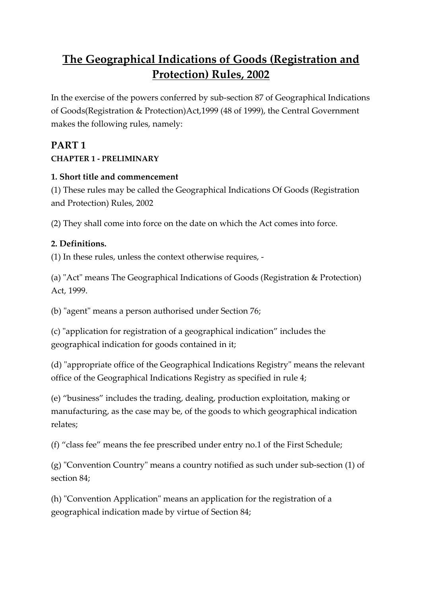# **The Geographical Indications of Goods (Registration and Protection) Rules, 2002**

In the exercise of the powers conferred by sub-section 87 of Geographical Indications of Goods(Registration & Protection)Act,1999 (48 of 1999), the Central Government makes the following rules, namely:

### **PART 1 CHAPTER 1 - PRELIMINARY**

#### **1. Short title and commencement**

(1) These rules may be called the Geographical Indications Of Goods (Registration and Protection) Rules, 2002

(2) They shall come into force on the date on which the Act comes into force.

#### **2. Definitions.**

(1) In these rules, unless the context otherwise requires, -

(a) "Act" means The Geographical Indications of Goods (Registration & Protection) Act, 1999.

(b) "agent" means a person authorised under Section 76;

(c) "application for registration of a geographical indication" includes the geographical indication for goods contained in it;

(d) "appropriate office of the Geographical Indications Registry" means the relevant office of the Geographical Indications Registry as specified in rule 4;

(e) "business" includes the trading, dealing, production exploitation, making or manufacturing, as the case may be, of the goods to which geographical indication relates;

(f) "class fee" means the fee prescribed under entry no.1 of the First Schedule;

(g) "Convention Country" means a country notified as such under sub-section (1) of section 84;

(h) "Convention Application" means an application for the registration of a geographical indication made by virtue of Section 84;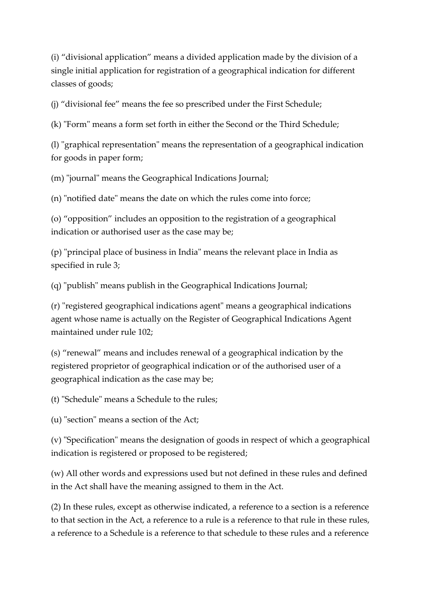(i) "divisional application" means a divided application made by the division of a single initial application for registration of a geographical indication for different classes of goods;

(j) "divisional fee" means the fee so prescribed under the First Schedule;

(k) "Form" means a form set forth in either the Second or the Third Schedule;

(l) "graphical representation" means the representation of a geographical indication for goods in paper form;

(m) "journal" means the Geographical Indications Journal;

(n) "notified date" means the date on which the rules come into force;

(o) "opposition" includes an opposition to the registration of a geographical indication or authorised user as the case may be;

(p) "principal place of business in India" means the relevant place in India as specified in rule 3;

(q) "publish" means publish in the Geographical Indications Journal;

(r) "registered geographical indications agent" means a geographical indications agent whose name is actually on the Register of Geographical Indications Agent maintained under rule 102;

(s) "renewal" means and includes renewal of a geographical indication by the registered proprietor of geographical indication or of the authorised user of a geographical indication as the case may be;

(t) "Schedule" means a Schedule to the rules;

(u) "section" means a section of the Act;

(v) "Specification" means the designation of goods in respect of which a geographical indication is registered or proposed to be registered;

(w) All other words and expressions used but not defined in these rules and defined in the Act shall have the meaning assigned to them in the Act.

(2) In these rules, except as otherwise indicated, a reference to a section is a reference to that section in the Act, a reference to a rule is a reference to that rule in these rules, a reference to a Schedule is a reference to that schedule to these rules and a reference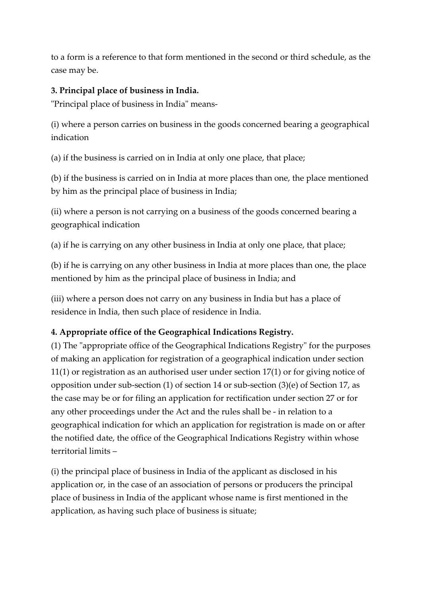to a form is a reference to that form mentioned in the second or third schedule, as the case may be.

#### **3. Principal place of business in India.**

"Principal place of business in India" means-

(i) where a person carries on business in the goods concerned bearing a geographical indication

(a) if the business is carried on in India at only one place, that place;

(b) if the business is carried on in India at more places than one, the place mentioned by him as the principal place of business in India;

(ii) where a person is not carrying on a business of the goods concerned bearing a geographical indication

(a) if he is carrying on any other business in India at only one place, that place;

(b) if he is carrying on any other business in India at more places than one, the place mentioned by him as the principal place of business in India; and

(iii) where a person does not carry on any business in India but has a place of residence in India, then such place of residence in India.

### **4. Appropriate office of the Geographical Indications Registry.**

(1) The "appropriate office of the Geographical Indications Registry" for the purposes of making an application for registration of a geographical indication under section 11(1) or registration as an authorised user under section 17(1) or for giving notice of opposition under sub-section (1) of section 14 or sub-section (3)(e) of Section 17, as the case may be or for filing an application for rectification under section 27 or for any other proceedings under the Act and the rules shall be - in relation to a geographical indication for which an application for registration is made on or after the notified date, the office of the Geographical Indications Registry within whose territorial limits –

(i) the principal place of business in India of the applicant as disclosed in his application or, in the case of an association of persons or producers the principal place of business in India of the applicant whose name is first mentioned in the application, as having such place of business is situate;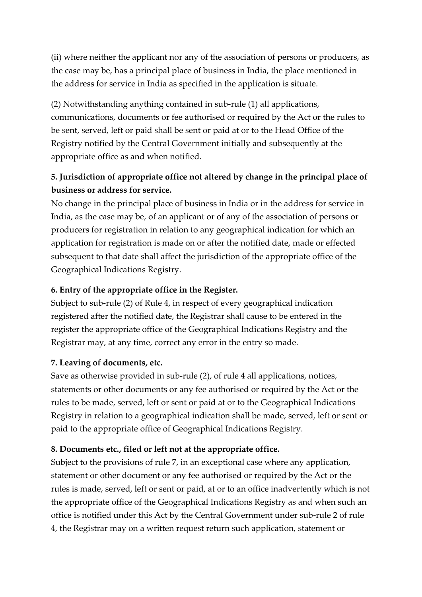(ii) where neither the applicant nor any of the association of persons or producers, as the case may be, has a principal place of business in India, the place mentioned in the address for service in India as specified in the application is situate.

(2) Notwithstanding anything contained in sub-rule (1) all applications, communications, documents or fee authorised or required by the Act or the rules to be sent, served, left or paid shall be sent or paid at or to the Head Office of the Registry notified by the Central Government initially and subsequently at the appropriate office as and when notified.

## **5. Jurisdiction of appropriate office not altered by change in the principal place of business or address for service.**

No change in the principal place of business in India or in the address for service in India, as the case may be, of an applicant or of any of the association of persons or producers for registration in relation to any geographical indication for which an application for registration is made on or after the notified date, made or effected subsequent to that date shall affect the jurisdiction of the appropriate office of the Geographical Indications Registry.

#### **6. Entry of the appropriate office in the Register.**

Subject to sub-rule (2) of Rule 4, in respect of every geographical indication registered after the notified date, the Registrar shall cause to be entered in the register the appropriate office of the Geographical Indications Registry and the Registrar may, at any time, correct any error in the entry so made.

#### **7. Leaving of documents, etc.**

Save as otherwise provided in sub-rule (2), of rule 4 all applications, notices, statements or other documents or any fee authorised or required by the Act or the rules to be made, served, left or sent or paid at or to the Geographical Indications Registry in relation to a geographical indication shall be made, served, left or sent or paid to the appropriate office of Geographical Indications Registry.

#### **8. Documents etc., filed or left not at the appropriate office.**

Subject to the provisions of rule 7, in an exceptional case where any application, statement or other document or any fee authorised or required by the Act or the rules is made, served, left or sent or paid, at or to an office inadvertently which is not the appropriate office of the Geographical Indications Registry as and when such an office is notified under this Act by the Central Government under sub-rule 2 of rule 4, the Registrar may on a written request return such application, statement or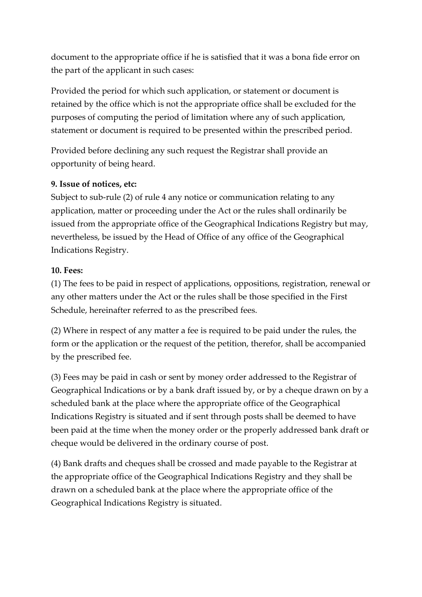document to the appropriate office if he is satisfied that it was a bona fide error on the part of the applicant in such cases:

Provided the period for which such application, or statement or document is retained by the office which is not the appropriate office shall be excluded for the purposes of computing the period of limitation where any of such application, statement or document is required to be presented within the prescribed period.

Provided before declining any such request the Registrar shall provide an opportunity of being heard.

#### **9. Issue of notices, etc:**

Subject to sub-rule (2) of rule 4 any notice or communication relating to any application, matter or proceeding under the Act or the rules shall ordinarily be issued from the appropriate office of the Geographical Indications Registry but may, nevertheless, be issued by the Head of Office of any office of the Geographical Indications Registry.

#### **10. Fees:**

(1) The fees to be paid in respect of applications, oppositions, registration, renewal or any other matters under the Act or the rules shall be those specified in the First Schedule, hereinafter referred to as the prescribed fees.

(2) Where in respect of any matter a fee is required to be paid under the rules, the form or the application or the request of the petition, therefor, shall be accompanied by the prescribed fee.

(3) Fees may be paid in cash or sent by money order addressed to the Registrar of Geographical Indications or by a bank draft issued by, or by a cheque drawn on by a scheduled bank at the place where the appropriate office of the Geographical Indications Registry is situated and if sent through posts shall be deemed to have been paid at the time when the money order or the properly addressed bank draft or cheque would be delivered in the ordinary course of post.

(4) Bank drafts and cheques shall be crossed and made payable to the Registrar at the appropriate office of the Geographical Indications Registry and they shall be drawn on a scheduled bank at the place where the appropriate office of the Geographical Indications Registry is situated.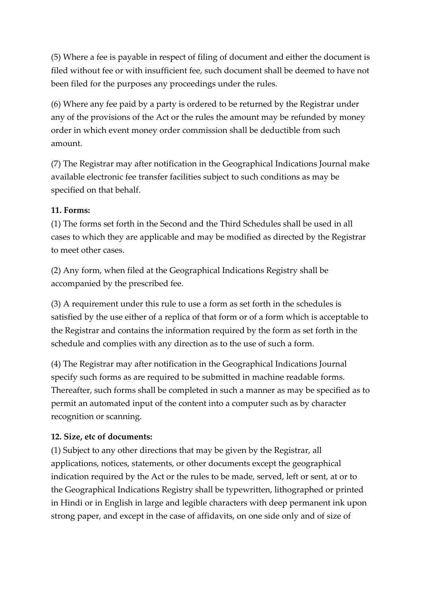(5) Where a fee is payable in respect of filing of document and either the document is filed without fee or with insufficient fee, such document shall be deemed to have not been filed for the purposes any proceedings under the rules.

(6) Where any fee paid by a party is ordered to be returned by the Registrar under any of the provisions of the Act or the rules the amount may be refunded by money order in which event money order commission shall be deductible from such amount.

(7) The Registrar may after notification in the Geographical Indications Journal make available electronic fee transfer facilities subject to such conditions as may be specified on that behalf.

### **11. Forms:**

(1) The forms set forth in the Second and the Third Schedules shall be used in all cases to which they are applicable and may be modified as directed by the Registrar to meet other cases.

(2) Any form, when filed at the Geographical Indications Registry shall be accompanied by the prescribed fee.

(3) A requirement under this rule to use a form as set forth in the schedules is satisfied by the use either of a replica of that form or of a form which is acceptable to the Registrar and contains the information required by the form as set forth in the schedule and complies with any direction as to the use of such a form.

(4) The Registrar may after notification in the Geographical Indications Journal specify such forms as are required to be submitted in machine readable forms. Thereafter, such forms shall be completed in such a manner as may be specified as to permit an automated input of the content into a computer such as by character recognition or scanning.

### **12. Size, etc of documents:**

(1) Subject to any other directions that may be given by the Registrar, all applications, notices, statements, or other documents except the geographical indication required by the Act or the rules to be made, served, left or sent, at or to the Geographical Indications Registry shall be typewritten, lithographed or printed in Hindi or in English in large and legible characters with deep permanent ink upon strong paper, and except in the case of affidavits, on one side only and of size of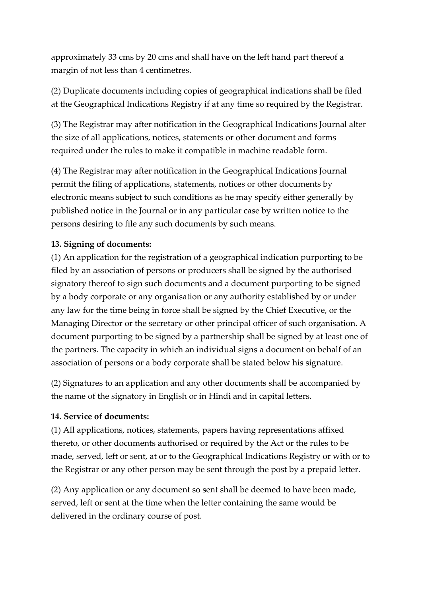approximately 33 cms by 20 cms and shall have on the left hand part thereof a margin of not less than 4 centimetres.

(2) Duplicate documents including copies of geographical indications shall be filed at the Geographical Indications Registry if at any time so required by the Registrar.

(3) The Registrar may after notification in the Geographical Indications Journal alter the size of all applications, notices, statements or other document and forms required under the rules to make it compatible in machine readable form.

(4) The Registrar may after notification in the Geographical Indications Journal permit the filing of applications, statements, notices or other documents by electronic means subject to such conditions as he may specify either generally by published notice in the Journal or in any particular case by written notice to the persons desiring to file any such documents by such means.

#### **13. Signing of documents:**

(1) An application for the registration of a geographical indication purporting to be filed by an association of persons or producers shall be signed by the authorised signatory thereof to sign such documents and a document purporting to be signed by a body corporate or any organisation or any authority established by or under any law for the time being in force shall be signed by the Chief Executive, or the Managing Director or the secretary or other principal officer of such organisation. A document purporting to be signed by a partnership shall be signed by at least one of the partners. The capacity in which an individual signs a document on behalf of an association of persons or a body corporate shall be stated below his signature.

(2) Signatures to an application and any other documents shall be accompanied by the name of the signatory in English or in Hindi and in capital letters.

#### **14. Service of documents:**

(1) All applications, notices, statements, papers having representations affixed thereto, or other documents authorised or required by the Act or the rules to be made, served, left or sent, at or to the Geographical Indications Registry or with or to the Registrar or any other person may be sent through the post by a prepaid letter.

(2) Any application or any document so sent shall be deemed to have been made, served, left or sent at the time when the letter containing the same would be delivered in the ordinary course of post.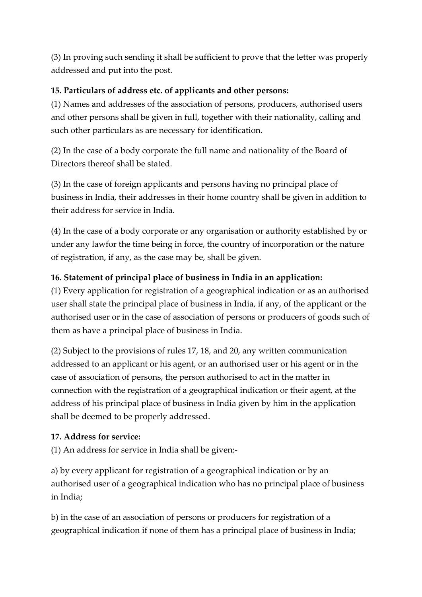(3) In proving such sending it shall be sufficient to prove that the letter was properly addressed and put into the post.

### **15. Particulars of address etc. of applicants and other persons:**

(1) Names and addresses of the association of persons, producers, authorised users and other persons shall be given in full, together with their nationality, calling and such other particulars as are necessary for identification.

(2) In the case of a body corporate the full name and nationality of the Board of Directors thereof shall be stated.

(3) In the case of foreign applicants and persons having no principal place of business in India, their addresses in their home country shall be given in addition to their address for service in India.

(4) In the case of a body corporate or any organisation or authority established by or under any lawfor the time being in force, the country of incorporation or the nature of registration, if any, as the case may be, shall be given.

### **16. Statement of principal place of business in India in an application:**

(1) Every application for registration of a geographical indication or as an authorised user shall state the principal place of business in India, if any, of the applicant or the authorised user or in the case of association of persons or producers of goods such of them as have a principal place of business in India.

(2) Subject to the provisions of rules 17, 18, and 20, any written communication addressed to an applicant or his agent, or an authorised user or his agent or in the case of association of persons, the person authorised to act in the matter in connection with the registration of a geographical indication or their agent, at the address of his principal place of business in India given by him in the application shall be deemed to be properly addressed.

### **17. Address for service:**

(1) An address for service in India shall be given:-

a) by every applicant for registration of a geographical indication or by an authorised user of a geographical indication who has no principal place of business in India;

b) in the case of an association of persons or producers for registration of a geographical indication if none of them has a principal place of business in India;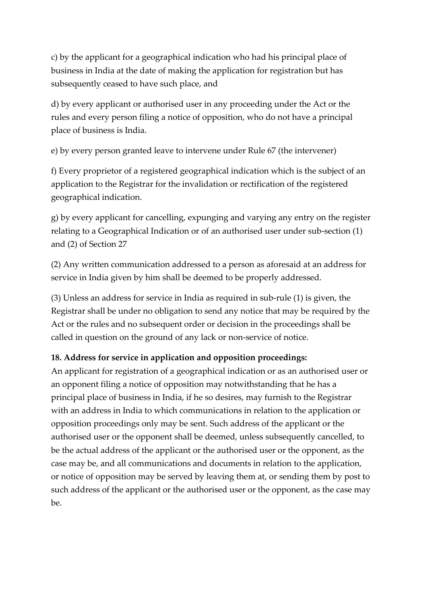c) by the applicant for a geographical indication who had his principal place of business in India at the date of making the application for registration but has subsequently ceased to have such place, and

d) by every applicant or authorised user in any proceeding under the Act or the rules and every person filing a notice of opposition, who do not have a principal place of business is India.

e) by every person granted leave to intervene under Rule 67 (the intervener)

f) Every proprietor of a registered geographical indication which is the subject of an application to the Registrar for the invalidation or rectification of the registered geographical indication.

g) by every applicant for cancelling, expunging and varying any entry on the register relating to a Geographical Indication or of an authorised user under sub-section (1) and (2) of Section 27

(2) Any written communication addressed to a person as aforesaid at an address for service in India given by him shall be deemed to be properly addressed.

(3) Unless an address for service in India as required in sub-rule (1) is given, the Registrar shall be under no obligation to send any notice that may be required by the Act or the rules and no subsequent order or decision in the proceedings shall be called in question on the ground of any lack or non-service of notice.

## **18. Address for service in application and opposition proceedings:**

An applicant for registration of a geographical indication or as an authorised user or an opponent filing a notice of opposition may notwithstanding that he has a principal place of business in India, if he so desires, may furnish to the Registrar with an address in India to which communications in relation to the application or opposition proceedings only may be sent. Such address of the applicant or the authorised user or the opponent shall be deemed, unless subsequently cancelled, to be the actual address of the applicant or the authorised user or the opponent, as the case may be, and all communications and documents in relation to the application, or notice of opposition may be served by leaving them at, or sending them by post to such address of the applicant or the authorised user or the opponent, as the case may be.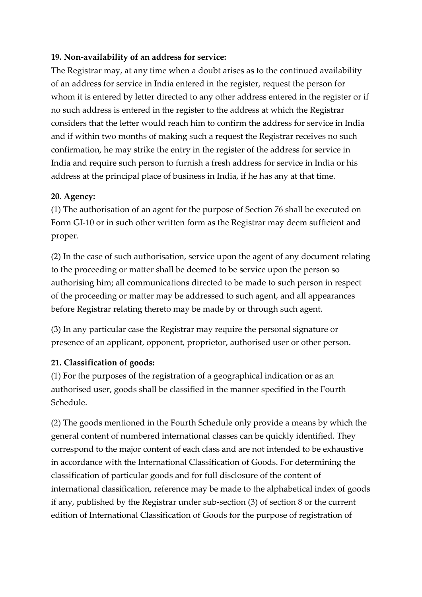#### **19. Non-availability of an address for service:**

The Registrar may, at any time when a doubt arises as to the continued availability of an address for service in India entered in the register, request the person for whom it is entered by letter directed to any other address entered in the register or if no such address is entered in the register to the address at which the Registrar considers that the letter would reach him to confirm the address for service in India and if within two months of making such a request the Registrar receives no such confirmation, he may strike the entry in the register of the address for service in India and require such person to furnish a fresh address for service in India or his address at the principal place of business in India, if he has any at that time.

#### **20. Agency:**

(1) The authorisation of an agent for the purpose of Section 76 shall be executed on Form GI-10 or in such other written form as the Registrar may deem sufficient and proper.

(2) In the case of such authorisation, service upon the agent of any document relating to the proceeding or matter shall be deemed to be service upon the person so authorising him; all communications directed to be made to such person in respect of the proceeding or matter may be addressed to such agent, and all appearances before Registrar relating thereto may be made by or through such agent.

(3) In any particular case the Registrar may require the personal signature or presence of an applicant, opponent, proprietor, authorised user or other person.

### **21. Classification of goods:**

(1) For the purposes of the registration of a geographical indication or as an authorised user, goods shall be classified in the manner specified in the Fourth Schedule.

(2) The goods mentioned in the Fourth Schedule only provide a means by which the general content of numbered international classes can be quickly identified. They correspond to the major content of each class and are not intended to be exhaustive in accordance with the International Classification of Goods. For determining the classification of particular goods and for full disclosure of the content of international classification, reference may be made to the alphabetical index of goods if any, published by the Registrar under sub-section (3) of section 8 or the current edition of International Classification of Goods for the purpose of registration of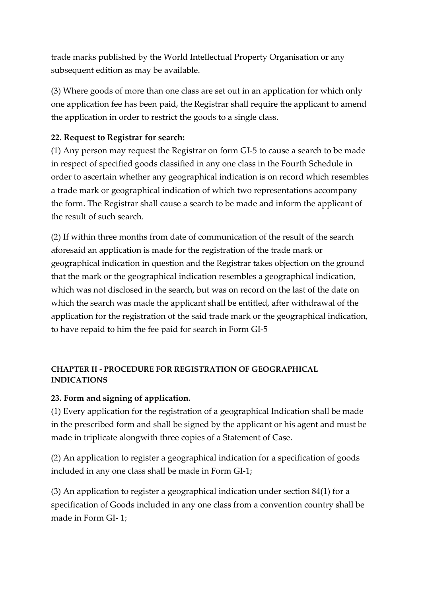trade marks published by the World Intellectual Property Organisation or any subsequent edition as may be available.

(3) Where goods of more than one class are set out in an application for which only one application fee has been paid, the Registrar shall require the applicant to amend the application in order to restrict the goods to a single class.

### **22. Request to Registrar for search:**

(1) Any person may request the Registrar on form GI-5 to cause a search to be made in respect of specified goods classified in any one class in the Fourth Schedule in order to ascertain whether any geographical indication is on record which resembles a trade mark or geographical indication of which two representations accompany the form. The Registrar shall cause a search to be made and inform the applicant of the result of such search.

(2) If within three months from date of communication of the result of the search aforesaid an application is made for the registration of the trade mark or geographical indication in question and the Registrar takes objection on the ground that the mark or the geographical indication resembles a geographical indication, which was not disclosed in the search, but was on record on the last of the date on which the search was made the applicant shall be entitled, after withdrawal of the application for the registration of the said trade mark or the geographical indication, to have repaid to him the fee paid for search in Form GI-5

#### **CHAPTER II - PROCEDURE FOR REGISTRATION OF GEOGRAPHICAL INDICATIONS**

### **23. Form and signing of application.**

(1) Every application for the registration of a geographical Indication shall be made in the prescribed form and shall be signed by the applicant or his agent and must be made in triplicate alongwith three copies of a Statement of Case.

(2) An application to register a geographical indication for a specification of goods included in any one class shall be made in Form GI-1;

(3) An application to register a geographical indication under section 84(1) for a specification of Goods included in any one class from a convention country shall be made in Form GI- 1;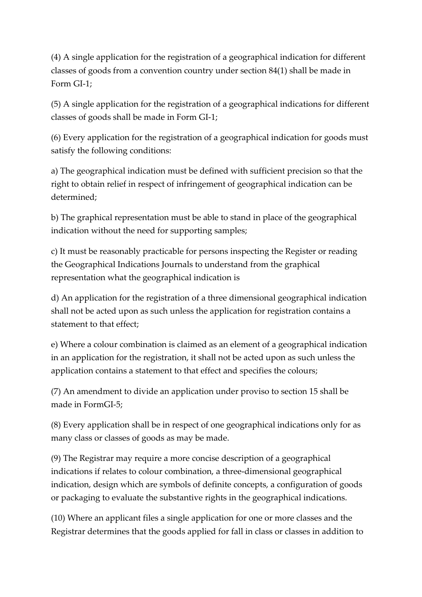(4) A single application for the registration of a geographical indication for different classes of goods from a convention country under section 84(1) shall be made in Form GI-1;

(5) A single application for the registration of a geographical indications for different classes of goods shall be made in Form GI-1;

(6) Every application for the registration of a geographical indication for goods must satisfy the following conditions:

a) The geographical indication must be defined with sufficient precision so that the right to obtain relief in respect of infringement of geographical indication can be determined;

b) The graphical representation must be able to stand in place of the geographical indication without the need for supporting samples;

c) It must be reasonably practicable for persons inspecting the Register or reading the Geographical Indications Journals to understand from the graphical representation what the geographical indication is

d) An application for the registration of a three dimensional geographical indication shall not be acted upon as such unless the application for registration contains a statement to that effect;

e) Where a colour combination is claimed as an element of a geographical indication in an application for the registration, it shall not be acted upon as such unless the application contains a statement to that effect and specifies the colours;

(7) An amendment to divide an application under proviso to section 15 shall be made in FormGI-5;

(8) Every application shall be in respect of one geographical indications only for as many class or classes of goods as may be made.

(9) The Registrar may require a more concise description of a geographical indications if relates to colour combination, a three-dimensional geographical indication, design which are symbols of definite concepts, a configuration of goods or packaging to evaluate the substantive rights in the geographical indications.

(10) Where an applicant files a single application for one or more classes and the Registrar determines that the goods applied for fall in class or classes in addition to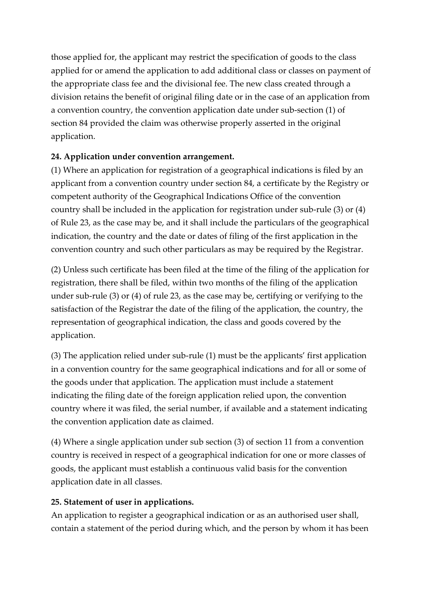those applied for, the applicant may restrict the specification of goods to the class applied for or amend the application to add additional class or classes on payment of the appropriate class fee and the divisional fee. The new class created through a division retains the benefit of original filing date or in the case of an application from a convention country, the convention application date under sub-section (1) of section 84 provided the claim was otherwise properly asserted in the original application.

### **24. Application under convention arrangement.**

(1) Where an application for registration of a geographical indications is filed by an applicant from a convention country under section 84, a certificate by the Registry or competent authority of the Geographical Indications Office of the convention country shall be included in the application for registration under sub-rule (3) or (4) of Rule 23, as the case may be, and it shall include the particulars of the geographical indication, the country and the date or dates of filing of the first application in the convention country and such other particulars as may be required by the Registrar.

(2) Unless such certificate has been filed at the time of the filing of the application for registration, there shall be filed, within two months of the filing of the application under sub-rule (3) or (4) of rule 23, as the case may be, certifying or verifying to the satisfaction of the Registrar the date of the filing of the application, the country, the representation of geographical indication, the class and goods covered by the application.

(3) The application relied under sub-rule (1) must be the applicants' first application in a convention country for the same geographical indications and for all or some of the goods under that application. The application must include a statement indicating the filing date of the foreign application relied upon, the convention country where it was filed, the serial number, if available and a statement indicating the convention application date as claimed.

(4) Where a single application under sub section (3) of section 11 from a convention country is received in respect of a geographical indication for one or more classes of goods, the applicant must establish a continuous valid basis for the convention application date in all classes.

## **25. Statement of user in applications.**

An application to register a geographical indication or as an authorised user shall, contain a statement of the period during which, and the person by whom it has been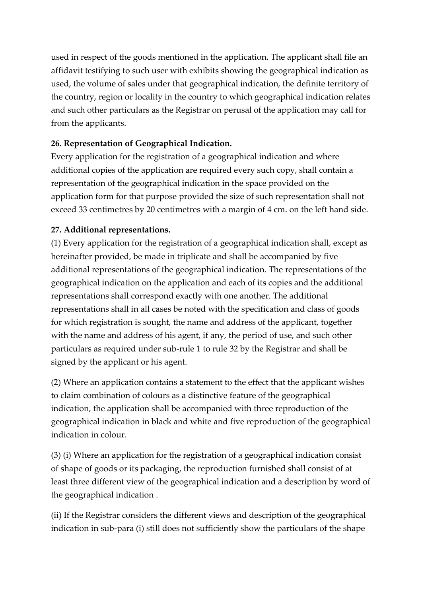used in respect of the goods mentioned in the application. The applicant shall file an affidavit testifying to such user with exhibits showing the geographical indication as used, the volume of sales under that geographical indication, the definite territory of the country, region or locality in the country to which geographical indication relates and such other particulars as the Registrar on perusal of the application may call for from the applicants.

### **26. Representation of Geographical Indication.**

Every application for the registration of a geographical indication and where additional copies of the application are required every such copy, shall contain a representation of the geographical indication in the space provided on the application form for that purpose provided the size of such representation shall not exceed 33 centimetres by 20 centimetres with a margin of 4 cm. on the left hand side.

### **27. Additional representations.**

(1) Every application for the registration of a geographical indication shall, except as hereinafter provided, be made in triplicate and shall be accompanied by five additional representations of the geographical indication. The representations of the geographical indication on the application and each of its copies and the additional representations shall correspond exactly with one another. The additional representations shall in all cases be noted with the specification and class of goods for which registration is sought, the name and address of the applicant, together with the name and address of his agent, if any, the period of use, and such other particulars as required under sub-rule 1 to rule 32 by the Registrar and shall be signed by the applicant or his agent.

(2) Where an application contains a statement to the effect that the applicant wishes to claim combination of colours as a distinctive feature of the geographical indication, the application shall be accompanied with three reproduction of the geographical indication in black and white and five reproduction of the geographical indication in colour.

(3) (i) Where an application for the registration of a geographical indication consist of shape of goods or its packaging, the reproduction furnished shall consist of at least three different view of the geographical indication and a description by word of the geographical indication .

(ii) If the Registrar considers the different views and description of the geographical indication in sub-para (i) still does not sufficiently show the particulars of the shape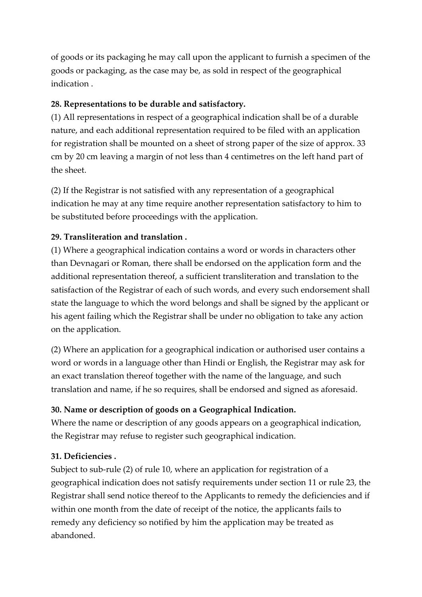of goods or its packaging he may call upon the applicant to furnish a specimen of the goods or packaging, as the case may be, as sold in respect of the geographical indication .

### **28. Representations to be durable and satisfactory.**

(1) All representations in respect of a geographical indication shall be of a durable nature, and each additional representation required to be filed with an application for registration shall be mounted on a sheet of strong paper of the size of approx. 33 cm by 20 cm leaving a margin of not less than 4 centimetres on the left hand part of the sheet.

(2) If the Registrar is not satisfied with any representation of a geographical indication he may at any time require another representation satisfactory to him to be substituted before proceedings with the application.

### **29. Transliteration and translation .**

(1) Where a geographical indication contains a word or words in characters other than Devnagari or Roman, there shall be endorsed on the application form and the additional representation thereof, a sufficient transliteration and translation to the satisfaction of the Registrar of each of such words, and every such endorsement shall state the language to which the word belongs and shall be signed by the applicant or his agent failing which the Registrar shall be under no obligation to take any action on the application.

(2) Where an application for a geographical indication or authorised user contains a word or words in a language other than Hindi or English, the Registrar may ask for an exact translation thereof together with the name of the language, and such translation and name, if he so requires, shall be endorsed and signed as aforesaid.

## **30. Name or description of goods on a Geographical Indication.**

Where the name or description of any goods appears on a geographical indication, the Registrar may refuse to register such geographical indication.

## **31. Deficiencies .**

Subject to sub-rule (2) of rule 10, where an application for registration of a geographical indication does not satisfy requirements under section 11 or rule 23, the Registrar shall send notice thereof to the Applicants to remedy the deficiencies and if within one month from the date of receipt of the notice, the applicants fails to remedy any deficiency so notified by him the application may be treated as abandoned.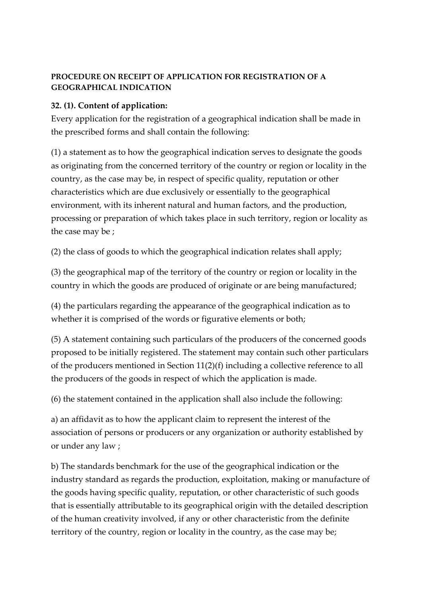#### **PROCEDURE ON RECEIPT OF APPLICATION FOR REGISTRATION OF A GEOGRAPHICAL INDICATION**

### **32. (1). Content of application:**

Every application for the registration of a geographical indication shall be made in the prescribed forms and shall contain the following:

(1) a statement as to how the geographical indication serves to designate the goods as originating from the concerned territory of the country or region or locality in the country, as the case may be, in respect of specific quality, reputation or other characteristics which are due exclusively or essentially to the geographical environment, with its inherent natural and human factors, and the production, processing or preparation of which takes place in such territory, region or locality as the case may be ;

(2) the class of goods to which the geographical indication relates shall apply;

(3) the geographical map of the territory of the country or region or locality in the country in which the goods are produced of originate or are being manufactured;

(4) the particulars regarding the appearance of the geographical indication as to whether it is comprised of the words or figurative elements or both;

(5) A statement containing such particulars of the producers of the concerned goods proposed to be initially registered. The statement may contain such other particulars of the producers mentioned in Section 11(2)(f) including a collective reference to all the producers of the goods in respect of which the application is made.

(6) the statement contained in the application shall also include the following:

a) an affidavit as to how the applicant claim to represent the interest of the association of persons or producers or any organization or authority established by or under any law ;

b) The standards benchmark for the use of the geographical indication or the industry standard as regards the production, exploitation, making or manufacture of the goods having specific quality, reputation, or other characteristic of such goods that is essentially attributable to its geographical origin with the detailed description of the human creativity involved, if any or other characteristic from the definite territory of the country, region or locality in the country, as the case may be;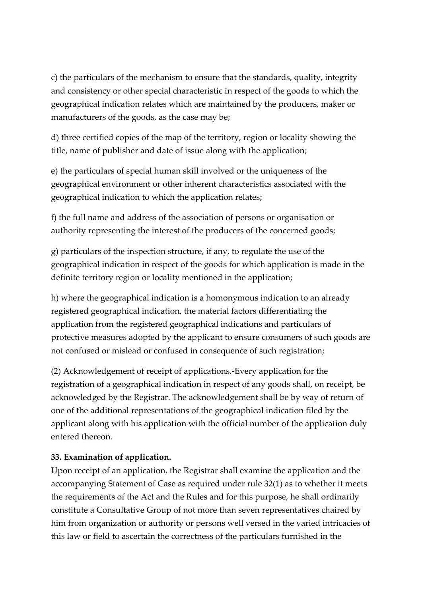c) the particulars of the mechanism to ensure that the standards, quality, integrity and consistency or other special characteristic in respect of the goods to which the geographical indication relates which are maintained by the producers, maker or manufacturers of the goods, as the case may be;

d) three certified copies of the map of the territory, region or locality showing the title, name of publisher and date of issue along with the application;

e) the particulars of special human skill involved or the uniqueness of the geographical environment or other inherent characteristics associated with the geographical indication to which the application relates;

f) the full name and address of the association of persons or organisation or authority representing the interest of the producers of the concerned goods;

g) particulars of the inspection structure, if any, to regulate the use of the geographical indication in respect of the goods for which application is made in the definite territory region or locality mentioned in the application;

h) where the geographical indication is a homonymous indication to an already registered geographical indication, the material factors differentiating the application from the registered geographical indications and particulars of protective measures adopted by the applicant to ensure consumers of such goods are not confused or mislead or confused in consequence of such registration;

(2) Acknowledgement of receipt of applications.-Every application for the registration of a geographical indication in respect of any goods shall, on receipt, be acknowledged by the Registrar. The acknowledgement shall be by way of return of one of the additional representations of the geographical indication filed by the applicant along with his application with the official number of the application duly entered thereon.

#### **33. Examination of application.**

Upon receipt of an application, the Registrar shall examine the application and the accompanying Statement of Case as required under rule 32(1) as to whether it meets the requirements of the Act and the Rules and for this purpose, he shall ordinarily constitute a Consultative Group of not more than seven representatives chaired by him from organization or authority or persons well versed in the varied intricacies of this law or field to ascertain the correctness of the particulars furnished in the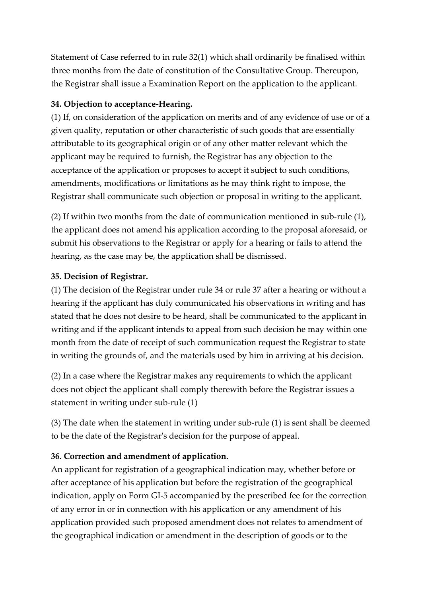Statement of Case referred to in rule 32(1) which shall ordinarily be finalised within three months from the date of constitution of the Consultative Group. Thereupon, the Registrar shall issue a Examination Report on the application to the applicant.

### **34. Objection to acceptance-Hearing.**

(1) If, on consideration of the application on merits and of any evidence of use or of a given quality, reputation or other characteristic of such goods that are essentially attributable to its geographical origin or of any other matter relevant which the applicant may be required to furnish, the Registrar has any objection to the acceptance of the application or proposes to accept it subject to such conditions, amendments, modifications or limitations as he may think right to impose, the Registrar shall communicate such objection or proposal in writing to the applicant.

(2) If within two months from the date of communication mentioned in sub-rule (1), the applicant does not amend his application according to the proposal aforesaid, or submit his observations to the Registrar or apply for a hearing or fails to attend the hearing, as the case may be, the application shall be dismissed.

### **35. Decision of Registrar.**

(1) The decision of the Registrar under rule 34 or rule 37 after a hearing or without a hearing if the applicant has duly communicated his observations in writing and has stated that he does not desire to be heard, shall be communicated to the applicant in writing and if the applicant intends to appeal from such decision he may within one month from the date of receipt of such communication request the Registrar to state in writing the grounds of, and the materials used by him in arriving at his decision.

(2) In a case where the Registrar makes any requirements to which the applicant does not object the applicant shall comply therewith before the Registrar issues a statement in writing under sub-rule (1)

(3) The date when the statement in writing under sub-rule (1) is sent shall be deemed to be the date of the Registrar's decision for the purpose of appeal.

## **36. Correction and amendment of application.**

An applicant for registration of a geographical indication may, whether before or after acceptance of his application but before the registration of the geographical indication, apply on Form GI-5 accompanied by the prescribed fee for the correction of any error in or in connection with his application or any amendment of his application provided such proposed amendment does not relates to amendment of the geographical indication or amendment in the description of goods or to the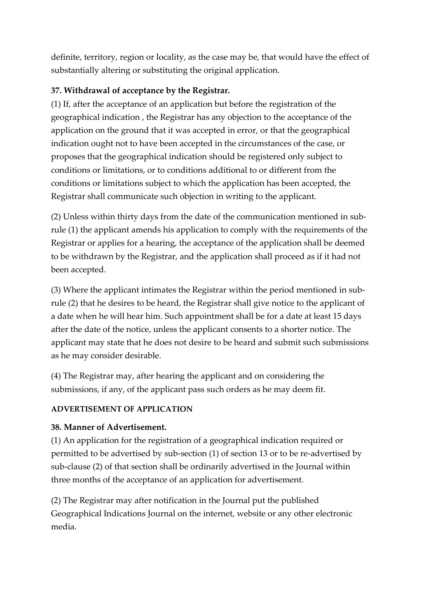definite, territory, region or locality, as the case may be, that would have the effect of substantially altering or substituting the original application.

### **37. Withdrawal of acceptance by the Registrar.**

(1) If, after the acceptance of an application but before the registration of the geographical indication , the Registrar has any objection to the acceptance of the application on the ground that it was accepted in error, or that the geographical indication ought not to have been accepted in the circumstances of the case, or proposes that the geographical indication should be registered only subject to conditions or limitations, or to conditions additional to or different from the conditions or limitations subject to which the application has been accepted, the Registrar shall communicate such objection in writing to the applicant.

(2) Unless within thirty days from the date of the communication mentioned in subrule (1) the applicant amends his application to comply with the requirements of the Registrar or applies for a hearing, the acceptance of the application shall be deemed to be withdrawn by the Registrar, and the application shall proceed as if it had not been accepted.

(3) Where the applicant intimates the Registrar within the period mentioned in subrule (2) that he desires to be heard, the Registrar shall give notice to the applicant of a date when he will hear him. Such appointment shall be for a date at least 15 days after the date of the notice, unless the applicant consents to a shorter notice. The applicant may state that he does not desire to be heard and submit such submissions as he may consider desirable.

(4) The Registrar may, after hearing the applicant and on considering the submissions, if any, of the applicant pass such orders as he may deem fit.

### **ADVERTISEMENT OF APPLICATION**

### **38. Manner of Advertisement.**

(1) An application for the registration of a geographical indication required or permitted to be advertised by sub-section (1) of section 13 or to be re-advertised by sub-clause (2) of that section shall be ordinarily advertised in the Journal within three months of the acceptance of an application for advertisement.

(2) The Registrar may after notification in the Journal put the published Geographical Indications Journal on the internet, website or any other electronic media.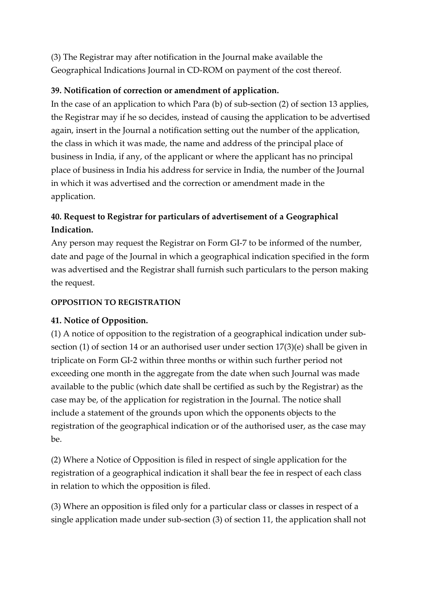(3) The Registrar may after notification in the Journal make available the Geographical Indications Journal in CD-ROM on payment of the cost thereof.

### **39. Notification of correction or amendment of application.**

In the case of an application to which Para (b) of sub-section (2) of section 13 applies, the Registrar may if he so decides, instead of causing the application to be advertised again, insert in the Journal a notification setting out the number of the application, the class in which it was made, the name and address of the principal place of business in India, if any, of the applicant or where the applicant has no principal place of business in India his address for service in India, the number of the Journal in which it was advertised and the correction or amendment made in the application.

## **40. Request to Registrar for particulars of advertisement of a Geographical Indication.**

Any person may request the Registrar on Form GI-7 to be informed of the number, date and page of the Journal in which a geographical indication specified in the form was advertised and the Registrar shall furnish such particulars to the person making the request.

### **OPPOSITION TO REGISTRATION**

### **41. Notice of Opposition.**

(1) A notice of opposition to the registration of a geographical indication under subsection (1) of section 14 or an authorised user under section 17(3)(e) shall be given in triplicate on Form GI-2 within three months or within such further period not exceeding one month in the aggregate from the date when such Journal was made available to the public (which date shall be certified as such by the Registrar) as the case may be, of the application for registration in the Journal. The notice shall include a statement of the grounds upon which the opponents objects to the registration of the geographical indication or of the authorised user, as the case may  $he$ 

(2) Where a Notice of Opposition is filed in respect of single application for the registration of a geographical indication it shall bear the fee in respect of each class in relation to which the opposition is filed.

(3) Where an opposition is filed only for a particular class or classes in respect of a single application made under sub-section (3) of section 11, the application shall not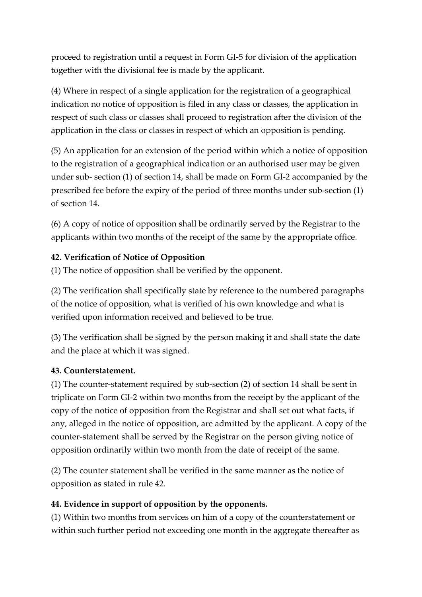proceed to registration until a request in Form GI-5 for division of the application together with the divisional fee is made by the applicant.

(4) Where in respect of a single application for the registration of a geographical indication no notice of opposition is filed in any class or classes, the application in respect of such class or classes shall proceed to registration after the division of the application in the class or classes in respect of which an opposition is pending.

(5) An application for an extension of the period within which a notice of opposition to the registration of a geographical indication or an authorised user may be given under sub- section (1) of section 14, shall be made on Form GI-2 accompanied by the prescribed fee before the expiry of the period of three months under sub-section (1) of section 14.

(6) A copy of notice of opposition shall be ordinarily served by the Registrar to the applicants within two months of the receipt of the same by the appropriate office.

### **42. Verification of Notice of Opposition**

(1) The notice of opposition shall be verified by the opponent.

(2) The verification shall specifically state by reference to the numbered paragraphs of the notice of opposition, what is verified of his own knowledge and what is verified upon information received and believed to be true.

(3) The verification shall be signed by the person making it and shall state the date and the place at which it was signed.

### **43. Counterstatement.**

(1) The counter-statement required by sub-section (2) of section 14 shall be sent in triplicate on Form GI-2 within two months from the receipt by the applicant of the copy of the notice of opposition from the Registrar and shall set out what facts, if any, alleged in the notice of opposition, are admitted by the applicant. A copy of the counter-statement shall be served by the Registrar on the person giving notice of opposition ordinarily within two month from the date of receipt of the same.

(2) The counter statement shall be verified in the same manner as the notice of opposition as stated in rule 42.

## **44. Evidence in support of opposition by the opponents.**

(1) Within two months from services on him of a copy of the counterstatement or within such further period not exceeding one month in the aggregate thereafter as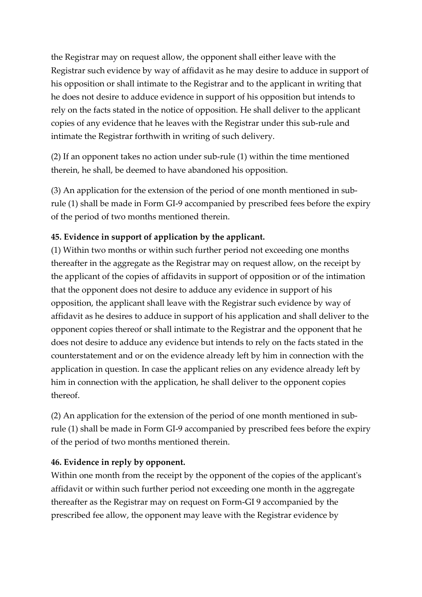the Registrar may on request allow, the opponent shall either leave with the Registrar such evidence by way of affidavit as he may desire to adduce in support of his opposition or shall intimate to the Registrar and to the applicant in writing that he does not desire to adduce evidence in support of his opposition but intends to rely on the facts stated in the notice of opposition. He shall deliver to the applicant copies of any evidence that he leaves with the Registrar under this sub-rule and intimate the Registrar forthwith in writing of such delivery.

(2) If an opponent takes no action under sub-rule (1) within the time mentioned therein, he shall, be deemed to have abandoned his opposition.

(3) An application for the extension of the period of one month mentioned in subrule (1) shall be made in Form GI-9 accompanied by prescribed fees before the expiry of the period of two months mentioned therein.

### **45. Evidence in support of application by the applicant.**

(1) Within two months or within such further period not exceeding one months thereafter in the aggregate as the Registrar may on request allow, on the receipt by the applicant of the copies of affidavits in support of opposition or of the intimation that the opponent does not desire to adduce any evidence in support of his opposition, the applicant shall leave with the Registrar such evidence by way of affidavit as he desires to adduce in support of his application and shall deliver to the opponent copies thereof or shall intimate to the Registrar and the opponent that he does not desire to adduce any evidence but intends to rely on the facts stated in the counterstatement and or on the evidence already left by him in connection with the application in question. In case the applicant relies on any evidence already left by him in connection with the application, he shall deliver to the opponent copies thereof.

(2) An application for the extension of the period of one month mentioned in subrule (1) shall be made in Form GI-9 accompanied by prescribed fees before the expiry of the period of two months mentioned therein.

### **46. Evidence in reply by opponent.**

Within one month from the receipt by the opponent of the copies of the applicant's affidavit or within such further period not exceeding one month in the aggregate thereafter as the Registrar may on request on Form-GI 9 accompanied by the prescribed fee allow, the opponent may leave with the Registrar evidence by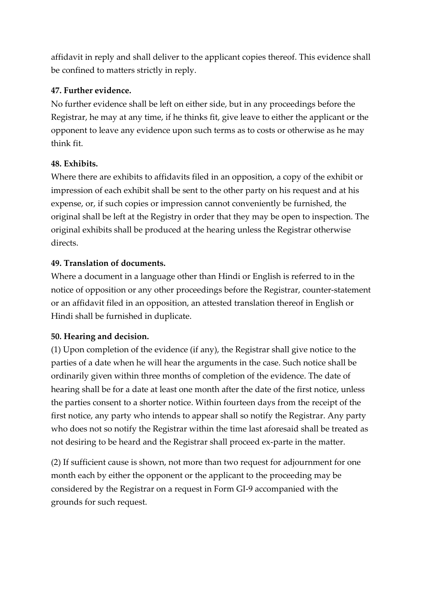affidavit in reply and shall deliver to the applicant copies thereof. This evidence shall be confined to matters strictly in reply.

### **47. Further evidence.**

No further evidence shall be left on either side, but in any proceedings before the Registrar, he may at any time, if he thinks fit, give leave to either the applicant or the opponent to leave any evidence upon such terms as to costs or otherwise as he may think fit.

#### **48. Exhibits.**

Where there are exhibits to affidavits filed in an opposition, a copy of the exhibit or impression of each exhibit shall be sent to the other party on his request and at his expense, or, if such copies or impression cannot conveniently be furnished, the original shall be left at the Registry in order that they may be open to inspection. The original exhibits shall be produced at the hearing unless the Registrar otherwise directs.

#### **49. Translation of documents.**

Where a document in a language other than Hindi or English is referred to in the notice of opposition or any other proceedings before the Registrar, counter-statement or an affidavit filed in an opposition, an attested translation thereof in English or Hindi shall be furnished in duplicate.

### **50. Hearing and decision.**

(1) Upon completion of the evidence (if any), the Registrar shall give notice to the parties of a date when he will hear the arguments in the case. Such notice shall be ordinarily given within three months of completion of the evidence. The date of hearing shall be for a date at least one month after the date of the first notice, unless the parties consent to a shorter notice. Within fourteen days from the receipt of the first notice, any party who intends to appear shall so notify the Registrar. Any party who does not so notify the Registrar within the time last aforesaid shall be treated as not desiring to be heard and the Registrar shall proceed ex-parte in the matter.

(2) If sufficient cause is shown, not more than two request for adjournment for one month each by either the opponent or the applicant to the proceeding may be considered by the Registrar on a request in Form GI-9 accompanied with the grounds for such request.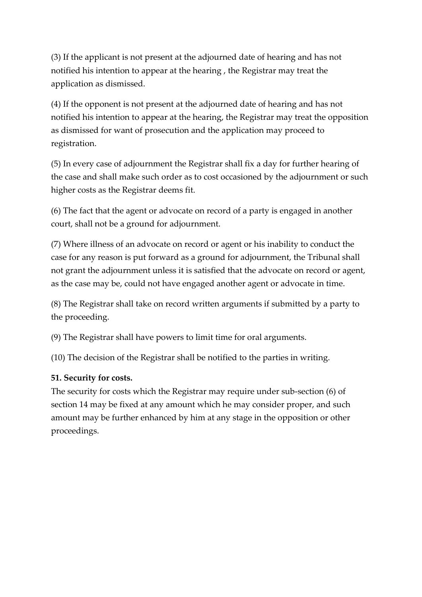(3) If the applicant is not present at the adjourned date of hearing and has not notified his intention to appear at the hearing , the Registrar may treat the application as dismissed.

(4) If the opponent is not present at the adjourned date of hearing and has not notified his intention to appear at the hearing, the Registrar may treat the opposition as dismissed for want of prosecution and the application may proceed to registration.

(5) In every case of adjournment the Registrar shall fix a day for further hearing of the case and shall make such order as to cost occasioned by the adjournment or such higher costs as the Registrar deems fit.

(6) The fact that the agent or advocate on record of a party is engaged in another court, shall not be a ground for adjournment.

(7) Where illness of an advocate on record or agent or his inability to conduct the case for any reason is put forward as a ground for adjournment, the Tribunal shall not grant the adjournment unless it is satisfied that the advocate on record or agent, as the case may be, could not have engaged another agent or advocate in time.

(8) The Registrar shall take on record written arguments if submitted by a party to the proceeding.

(9) The Registrar shall have powers to limit time for oral arguments.

(10) The decision of the Registrar shall be notified to the parties in writing.

#### **51. Security for costs.**

The security for costs which the Registrar may require under sub-section (6) of section 14 may be fixed at any amount which he may consider proper, and such amount may be further enhanced by him at any stage in the opposition or other proceedings.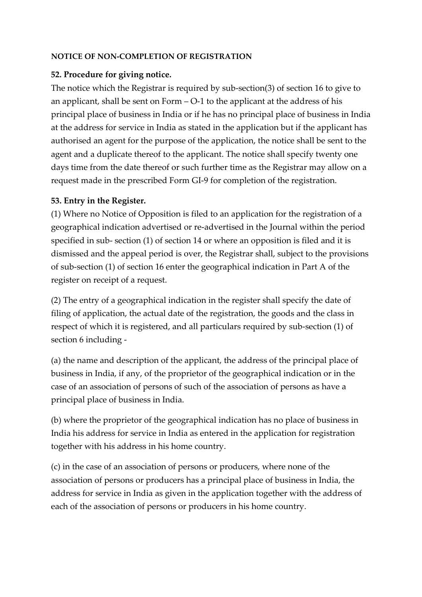#### **NOTICE OF NON-COMPLETION OF REGISTRATION**

#### **52. Procedure for giving notice.**

The notice which the Registrar is required by sub-section(3) of section 16 to give to an applicant, shall be sent on Form – O-1 to the applicant at the address of his principal place of business in India or if he has no principal place of business in India at the address for service in India as stated in the application but if the applicant has authorised an agent for the purpose of the application, the notice shall be sent to the agent and a duplicate thereof to the applicant. The notice shall specify twenty one days time from the date thereof or such further time as the Registrar may allow on a request made in the prescribed Form GI-9 for completion of the registration.

#### **53. Entry in the Register.**

(1) Where no Notice of Opposition is filed to an application for the registration of a geographical indication advertised or re-advertised in the Journal within the period specified in sub- section (1) of section 14 or where an opposition is filed and it is dismissed and the appeal period is over, the Registrar shall, subject to the provisions of sub-section (1) of section 16 enter the geographical indication in Part A of the register on receipt of a request.

(2) The entry of a geographical indication in the register shall specify the date of filing of application, the actual date of the registration, the goods and the class in respect of which it is registered, and all particulars required by sub-section (1) of section 6 including -

(a) the name and description of the applicant, the address of the principal place of business in India, if any, of the proprietor of the geographical indication or in the case of an association of persons of such of the association of persons as have a principal place of business in India.

(b) where the proprietor of the geographical indication has no place of business in India his address for service in India as entered in the application for registration together with his address in his home country.

(c) in the case of an association of persons or producers, where none of the association of persons or producers has a principal place of business in India, the address for service in India as given in the application together with the address of each of the association of persons or producers in his home country.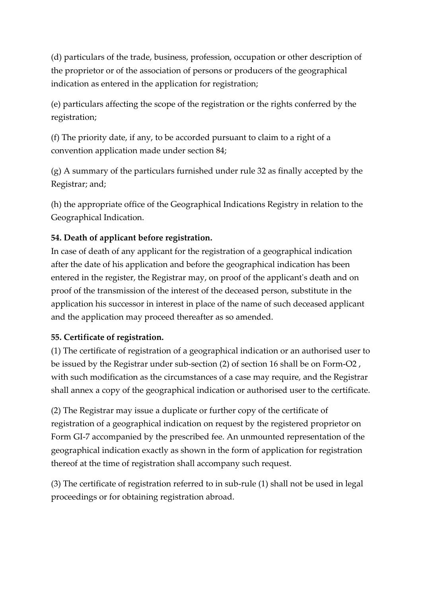(d) particulars of the trade, business, profession, occupation or other description of the proprietor or of the association of persons or producers of the geographical indication as entered in the application for registration;

(e) particulars affecting the scope of the registration or the rights conferred by the registration;

(f) The priority date, if any, to be accorded pursuant to claim to a right of a convention application made under section 84;

(g) A summary of the particulars furnished under rule 32 as finally accepted by the Registrar; and;

(h) the appropriate office of the Geographical Indications Registry in relation to the Geographical Indication.

### **54. Death of applicant before registration.**

In case of death of any applicant for the registration of a geographical indication after the date of his application and before the geographical indication has been entered in the register, the Registrar may, on proof of the applicant's death and on proof of the transmission of the interest of the deceased person, substitute in the application his successor in interest in place of the name of such deceased applicant and the application may proceed thereafter as so amended.

### **55. Certificate of registration.**

(1) The certificate of registration of a geographical indication or an authorised user to be issued by the Registrar under sub-section (2) of section 16 shall be on Form-O2 , with such modification as the circumstances of a case may require, and the Registrar shall annex a copy of the geographical indication or authorised user to the certificate.

(2) The Registrar may issue a duplicate or further copy of the certificate of registration of a geographical indication on request by the registered proprietor on Form GI-7 accompanied by the prescribed fee. An unmounted representation of the geographical indication exactly as shown in the form of application for registration thereof at the time of registration shall accompany such request.

(3) The certificate of registration referred to in sub-rule (1) shall not be used in legal proceedings or for obtaining registration abroad.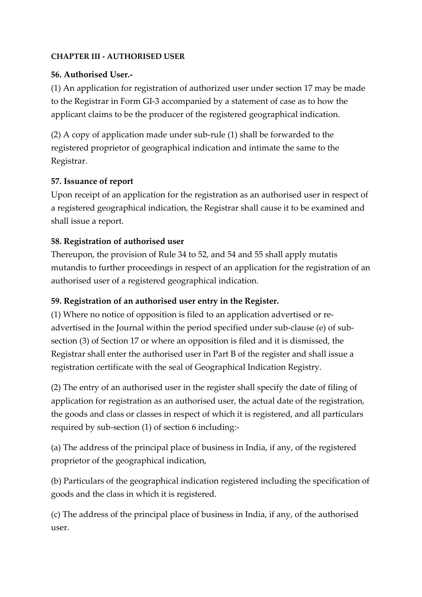#### **CHAPTER III - AUTHORISED USER**

#### **56. Authorised User.-**

(1) An application for registration of authorized user under section 17 may be made to the Registrar in Form GI-3 accompanied by a statement of case as to how the applicant claims to be the producer of the registered geographical indication.

(2) A copy of application made under sub-rule (1) shall be forwarded to the registered proprietor of geographical indication and intimate the same to the Registrar.

#### **57. Issuance of report**

Upon receipt of an application for the registration as an authorised user in respect of a registered geographical indication, the Registrar shall cause it to be examined and shall issue a report.

### **58. Registration of authorised user**

Thereupon, the provision of Rule 34 to 52, and 54 and 55 shall apply mutatis mutandis to further proceedings in respect of an application for the registration of an authorised user of a registered geographical indication.

#### **59. Registration of an authorised user entry in the Register.**

(1) Where no notice of opposition is filed to an application advertised or readvertised in the Journal within the period specified under sub-clause (e) of subsection (3) of Section 17 or where an opposition is filed and it is dismissed, the Registrar shall enter the authorised user in Part B of the register and shall issue a registration certificate with the seal of Geographical Indication Registry.

(2) The entry of an authorised user in the register shall specify the date of filing of application for registration as an authorised user, the actual date of the registration, the goods and class or classes in respect of which it is registered, and all particulars required by sub-section (1) of section 6 including:-

(a) The address of the principal place of business in India, if any, of the registered proprietor of the geographical indication,

(b) Particulars of the geographical indication registered including the specification of goods and the class in which it is registered.

(c) The address of the principal place of business in India, if any, of the authorised user.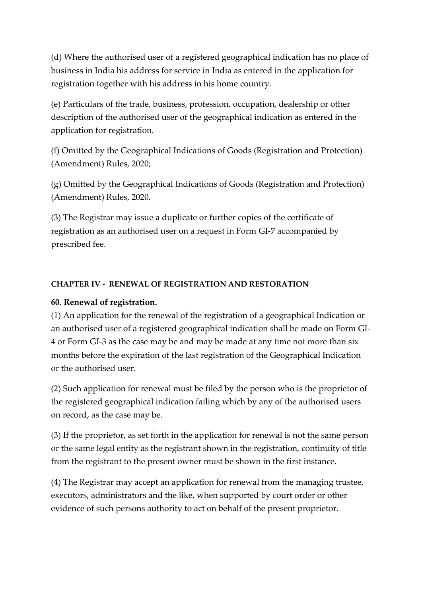(d) Where the authorised user of a registered geographical indication has no place of business in India his address for service in India as entered in the application for registration together with his address in his home country.

(e) Particulars of the trade, business, profession, occupation, dealership or other description of the authorised user of the geographical indication as entered in the application for registration.

(f) Omitted by the Geographical Indications of Goods (Registration and Protection) (Amendment) Rules, 2020;

(g) Omitted by the Geographical Indications of Goods (Registration and Protection) (Amendment) Rules, 2020.

(3) The Registrar may issue a duplicate or further copies of the certificate of registration as an authorised user on a request in Form GI-7 accompanied by prescribed fee.

#### **CHAPTER IV - RENEWAL OF REGISTRATION AND RESTORATION**

### **60. Renewal of registration.**

(1) An application for the renewal of the registration of a geographical Indication or an authorised user of a registered geographical indication shall be made on Form GI-4 or Form GI-3 as the case may be and may be made at any time not more than six months before the expiration of the last registration of the Geographical Indication or the authorised user.

(2) Such application for renewal must be filed by the person who is the proprietor of the registered geographical indication failing which by any of the authorised users on record, as the case may be.

(3) If the proprietor, as set forth in the application for renewal is not the same person or the same legal entity as the registrant shown in the registration, continuity of title from the registrant to the present owner must be shown in the first instance.

(4) The Registrar may accept an application for renewal from the managing trustee, executors, administrators and the like, when supported by court order or other evidence of such persons authority to act on behalf of the present proprietor.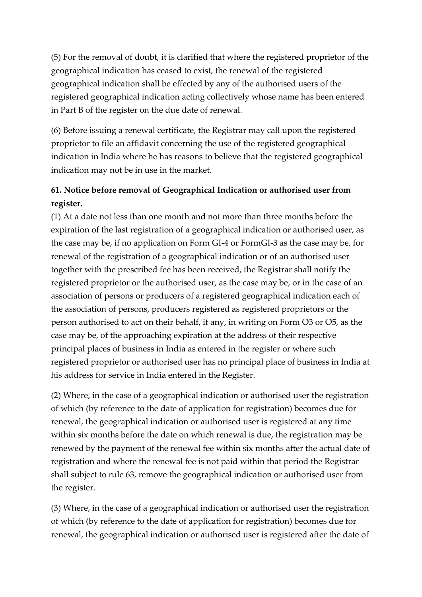(5) For the removal of doubt, it is clarified that where the registered proprietor of the geographical indication has ceased to exist, the renewal of the registered geographical indication shall be effected by any of the authorised users of the registered geographical indication acting collectively whose name has been entered in Part B of the register on the due date of renewal.

(6) Before issuing a renewal certificate, the Registrar may call upon the registered proprietor to file an affidavit concerning the use of the registered geographical indication in India where he has reasons to believe that the registered geographical indication may not be in use in the market.

## **61. Notice before removal of Geographical Indication or authorised user from register.**

(1) At a date not less than one month and not more than three months before the expiration of the last registration of a geographical indication or authorised user, as the case may be, if no application on Form GI-4 or FormGI-3 as the case may be, for renewal of the registration of a geographical indication or of an authorised user together with the prescribed fee has been received, the Registrar shall notify the registered proprietor or the authorised user, as the case may be, or in the case of an association of persons or producers of a registered geographical indication each of the association of persons, producers registered as registered proprietors or the person authorised to act on their behalf, if any, in writing on Form O3 or O5, as the case may be, of the approaching expiration at the address of their respective principal places of business in India as entered in the register or where such registered proprietor or authorised user has no principal place of business in India at his address for service in India entered in the Register.

(2) Where, in the case of a geographical indication or authorised user the registration of which (by reference to the date of application for registration) becomes due for renewal, the geographical indication or authorised user is registered at any time within six months before the date on which renewal is due, the registration may be renewed by the payment of the renewal fee within six months after the actual date of registration and where the renewal fee is not paid within that period the Registrar shall subject to rule 63, remove the geographical indication or authorised user from the register.

(3) Where, in the case of a geographical indication or authorised user the registration of which (by reference to the date of application for registration) becomes due for renewal, the geographical indication or authorised user is registered after the date of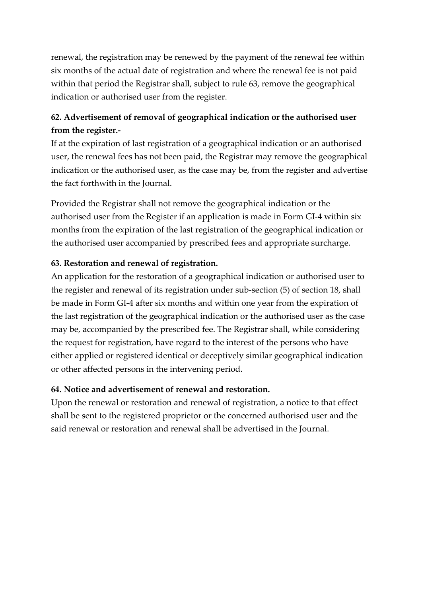renewal, the registration may be renewed by the payment of the renewal fee within six months of the actual date of registration and where the renewal fee is not paid within that period the Registrar shall, subject to rule 63, remove the geographical indication or authorised user from the register.

## **62. Advertisement of removal of geographical indication or the authorised user from the register.-**

If at the expiration of last registration of a geographical indication or an authorised user, the renewal fees has not been paid, the Registrar may remove the geographical indication or the authorised user, as the case may be, from the register and advertise the fact forthwith in the Journal.

Provided the Registrar shall not remove the geographical indication or the authorised user from the Register if an application is made in Form GI-4 within six months from the expiration of the last registration of the geographical indication or the authorised user accompanied by prescribed fees and appropriate surcharge.

#### **63. Restoration and renewal of registration.**

An application for the restoration of a geographical indication or authorised user to the register and renewal of its registration under sub-section (5) of section 18, shall be made in Form GI-4 after six months and within one year from the expiration of the last registration of the geographical indication or the authorised user as the case may be, accompanied by the prescribed fee. The Registrar shall, while considering the request for registration, have regard to the interest of the persons who have either applied or registered identical or deceptively similar geographical indication or other affected persons in the intervening period.

#### **64. Notice and advertisement of renewal and restoration.**

Upon the renewal or restoration and renewal of registration, a notice to that effect shall be sent to the registered proprietor or the concerned authorised user and the said renewal or restoration and renewal shall be advertised in the Journal.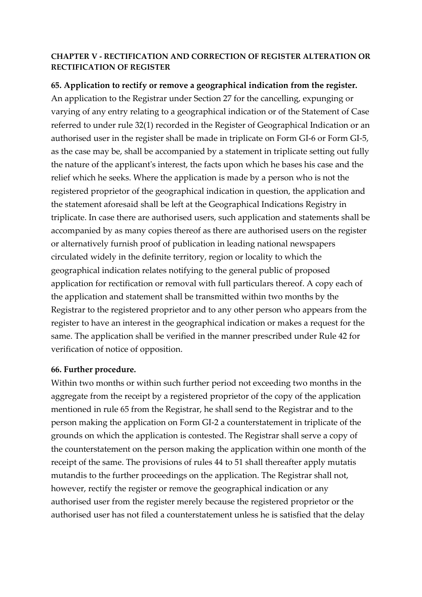#### **CHAPTER V - RECTIFICATION AND CORRECTION OF REGISTER ALTERATION OR RECTIFICATION OF REGISTER**

**65. Application to rectify or remove a geographical indication from the register.** An application to the Registrar under Section 27 for the cancelling, expunging or varying of any entry relating to a geographical indication or of the Statement of Case referred to under rule 32(1) recorded in the Register of Geographical Indication or an authorised user in the register shall be made in triplicate on Form GI-6 or Form GI-5, as the case may be, shall be accompanied by a statement in triplicate setting out fully the nature of the applicant's interest, the facts upon which he bases his case and the relief which he seeks. Where the application is made by a person who is not the registered proprietor of the geographical indication in question, the application and the statement aforesaid shall be left at the Geographical Indications Registry in triplicate. In case there are authorised users, such application and statements shall be accompanied by as many copies thereof as there are authorised users on the register or alternatively furnish proof of publication in leading national newspapers circulated widely in the definite territory, region or locality to which the geographical indication relates notifying to the general public of proposed application for rectification or removal with full particulars thereof. A copy each of the application and statement shall be transmitted within two months by the Registrar to the registered proprietor and to any other person who appears from the register to have an interest in the geographical indication or makes a request for the same. The application shall be verified in the manner prescribed under Rule 42 for verification of notice of opposition.

#### **66. Further procedure.**

Within two months or within such further period not exceeding two months in the aggregate from the receipt by a registered proprietor of the copy of the application mentioned in rule 65 from the Registrar, he shall send to the Registrar and to the person making the application on Form GI-2 a counterstatement in triplicate of the grounds on which the application is contested. The Registrar shall serve a copy of the counterstatement on the person making the application within one month of the receipt of the same. The provisions of rules 44 to 51 shall thereafter apply mutatis mutandis to the further proceedings on the application. The Registrar shall not, however, rectify the register or remove the geographical indication or any authorised user from the register merely because the registered proprietor or the authorised user has not filed a counterstatement unless he is satisfied that the delay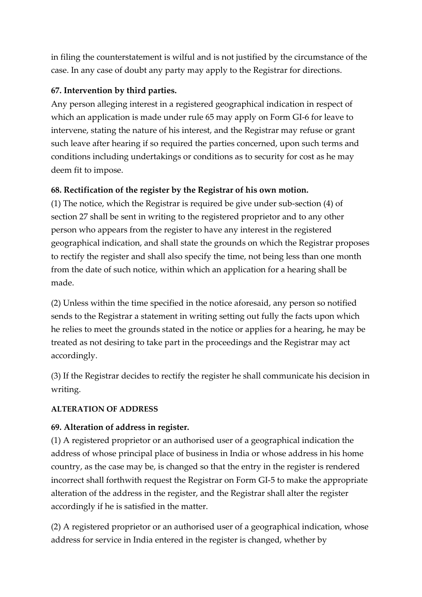in filing the counterstatement is wilful and is not justified by the circumstance of the case. In any case of doubt any party may apply to the Registrar for directions.

### **67. Intervention by third parties.**

Any person alleging interest in a registered geographical indication in respect of which an application is made under rule 65 may apply on Form GI-6 for leave to intervene, stating the nature of his interest, and the Registrar may refuse or grant such leave after hearing if so required the parties concerned, upon such terms and conditions including undertakings or conditions as to security for cost as he may deem fit to impose.

### **68. Rectification of the register by the Registrar of his own motion.**

(1) The notice, which the Registrar is required be give under sub-section (4) of section 27 shall be sent in writing to the registered proprietor and to any other person who appears from the register to have any interest in the registered geographical indication, and shall state the grounds on which the Registrar proposes to rectify the register and shall also specify the time, not being less than one month from the date of such notice, within which an application for a hearing shall be made.

(2) Unless within the time specified in the notice aforesaid, any person so notified sends to the Registrar a statement in writing setting out fully the facts upon which he relies to meet the grounds stated in the notice or applies for a hearing, he may be treated as not desiring to take part in the proceedings and the Registrar may act accordingly.

(3) If the Registrar decides to rectify the register he shall communicate his decision in writing.

#### **ALTERATION OF ADDRESS**

### **69. Alteration of address in register.**

(1) A registered proprietor or an authorised user of a geographical indication the address of whose principal place of business in India or whose address in his home country, as the case may be, is changed so that the entry in the register is rendered incorrect shall forthwith request the Registrar on Form GI-5 to make the appropriate alteration of the address in the register, and the Registrar shall alter the register accordingly if he is satisfied in the matter.

(2) A registered proprietor or an authorised user of a geographical indication, whose address for service in India entered in the register is changed, whether by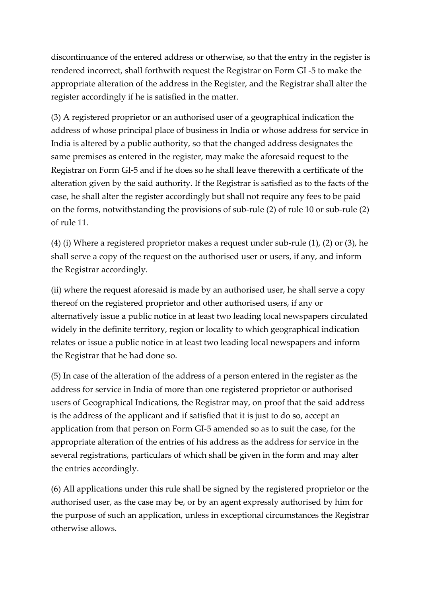discontinuance of the entered address or otherwise, so that the entry in the register is rendered incorrect, shall forthwith request the Registrar on Form GI -5 to make the appropriate alteration of the address in the Register, and the Registrar shall alter the register accordingly if he is satisfied in the matter.

(3) A registered proprietor or an authorised user of a geographical indication the address of whose principal place of business in India or whose address for service in India is altered by a public authority, so that the changed address designates the same premises as entered in the register, may make the aforesaid request to the Registrar on Form GI-5 and if he does so he shall leave therewith a certificate of the alteration given by the said authority. If the Registrar is satisfied as to the facts of the case, he shall alter the register accordingly but shall not require any fees to be paid on the forms, notwithstanding the provisions of sub-rule (2) of rule 10 or sub-rule (2) of rule 11.

(4) (i) Where a registered proprietor makes a request under sub-rule (1), (2) or (3), he shall serve a copy of the request on the authorised user or users, if any, and inform the Registrar accordingly.

(ii) where the request aforesaid is made by an authorised user, he shall serve a copy thereof on the registered proprietor and other authorised users, if any or alternatively issue a public notice in at least two leading local newspapers circulated widely in the definite territory, region or locality to which geographical indication relates or issue a public notice in at least two leading local newspapers and inform the Registrar that he had done so.

(5) In case of the alteration of the address of a person entered in the register as the address for service in India of more than one registered proprietor or authorised users of Geographical Indications, the Registrar may, on proof that the said address is the address of the applicant and if satisfied that it is just to do so, accept an application from that person on Form GI-5 amended so as to suit the case, for the appropriate alteration of the entries of his address as the address for service in the several registrations, particulars of which shall be given in the form and may alter the entries accordingly.

(6) All applications under this rule shall be signed by the registered proprietor or the authorised user, as the case may be, or by an agent expressly authorised by him for the purpose of such an application, unless in exceptional circumstances the Registrar otherwise allows.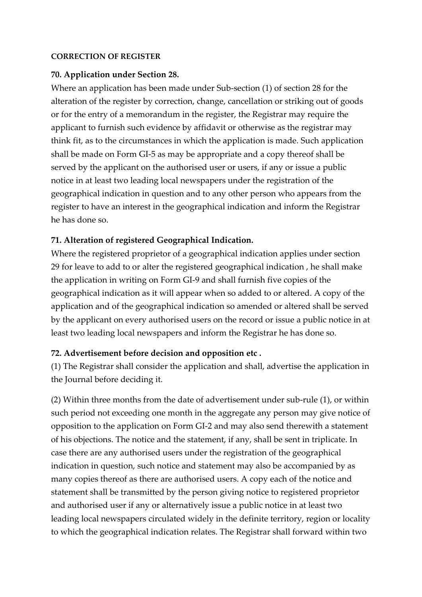#### **CORRECTION OF REGISTER**

#### **70. Application under Section 28.**

Where an application has been made under Sub-section (1) of section 28 for the alteration of the register by correction, change, cancellation or striking out of goods or for the entry of a memorandum in the register, the Registrar may require the applicant to furnish such evidence by affidavit or otherwise as the registrar may think fit, as to the circumstances in which the application is made. Such application shall be made on Form GI-5 as may be appropriate and a copy thereof shall be served by the applicant on the authorised user or users, if any or issue a public notice in at least two leading local newspapers under the registration of the geographical indication in question and to any other person who appears from the register to have an interest in the geographical indication and inform the Registrar he has done so.

#### **71. Alteration of registered Geographical Indication.**

Where the registered proprietor of a geographical indication applies under section 29 for leave to add to or alter the registered geographical indication , he shall make the application in writing on Form GI-9 and shall furnish five copies of the geographical indication as it will appear when so added to or altered. A copy of the application and of the geographical indication so amended or altered shall be served by the applicant on every authorised users on the record or issue a public notice in at least two leading local newspapers and inform the Registrar he has done so.

#### **72. Advertisement before decision and opposition etc .**

(1) The Registrar shall consider the application and shall, advertise the application in the Journal before deciding it.

(2) Within three months from the date of advertisement under sub-rule (1), or within such period not exceeding one month in the aggregate any person may give notice of opposition to the application on Form GI-2 and may also send therewith a statement of his objections. The notice and the statement, if any, shall be sent in triplicate. In case there are any authorised users under the registration of the geographical indication in question, such notice and statement may also be accompanied by as many copies thereof as there are authorised users. A copy each of the notice and statement shall be transmitted by the person giving notice to registered proprietor and authorised user if any or alternatively issue a public notice in at least two leading local newspapers circulated widely in the definite territory, region or locality to which the geographical indication relates. The Registrar shall forward within two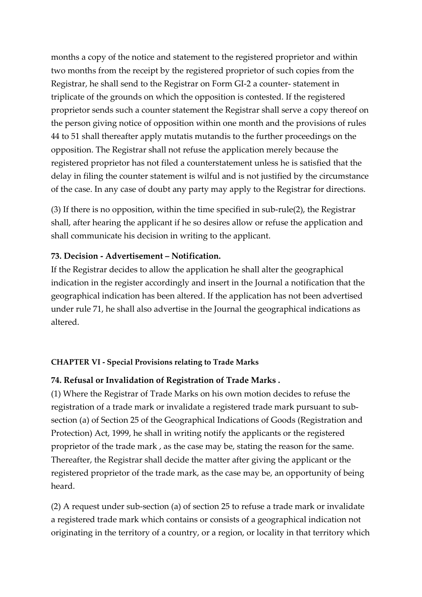months a copy of the notice and statement to the registered proprietor and within two months from the receipt by the registered proprietor of such copies from the Registrar, he shall send to the Registrar on Form GI-2 a counter- statement in triplicate of the grounds on which the opposition is contested. If the registered proprietor sends such a counter statement the Registrar shall serve a copy thereof on the person giving notice of opposition within one month and the provisions of rules 44 to 51 shall thereafter apply mutatis mutandis to the further proceedings on the opposition. The Registrar shall not refuse the application merely because the registered proprietor has not filed a counterstatement unless he is satisfied that the delay in filing the counter statement is wilful and is not justified by the circumstance of the case. In any case of doubt any party may apply to the Registrar for directions.

(3) If there is no opposition, within the time specified in sub-rule(2), the Registrar shall, after hearing the applicant if he so desires allow or refuse the application and shall communicate his decision in writing to the applicant.

#### **73. Decision - Advertisement – Notification.**

If the Registrar decides to allow the application he shall alter the geographical indication in the register accordingly and insert in the Journal a notification that the geographical indication has been altered. If the application has not been advertised under rule 71, he shall also advertise in the Journal the geographical indications as altered.

#### **CHAPTER VI - Special Provisions relating to Trade Marks**

#### **74. Refusal or Invalidation of Registration of Trade Marks .**

(1) Where the Registrar of Trade Marks on his own motion decides to refuse the registration of a trade mark or invalidate a registered trade mark pursuant to subsection (a) of Section 25 of the Geographical Indications of Goods (Registration and Protection) Act, 1999, he shall in writing notify the applicants or the registered proprietor of the trade mark , as the case may be, stating the reason for the same. Thereafter, the Registrar shall decide the matter after giving the applicant or the registered proprietor of the trade mark, as the case may be, an opportunity of being heard.

(2) A request under sub-section (a) of section 25 to refuse a trade mark or invalidate a registered trade mark which contains or consists of a geographical indication not originating in the territory of a country, or a region, or locality in that territory which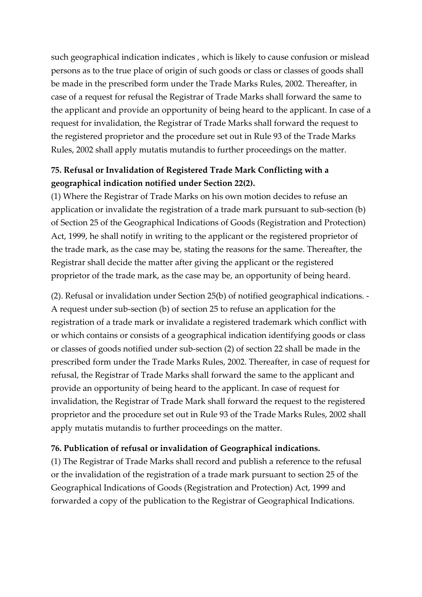such geographical indication indicates , which is likely to cause confusion or mislead persons as to the true place of origin of such goods or class or classes of goods shall be made in the prescribed form under the Trade Marks Rules, 2002. Thereafter, in case of a request for refusal the Registrar of Trade Marks shall forward the same to the applicant and provide an opportunity of being heard to the applicant. In case of a request for invalidation, the Registrar of Trade Marks shall forward the request to the registered proprietor and the procedure set out in Rule 93 of the Trade Marks Rules, 2002 shall apply mutatis mutandis to further proceedings on the matter.

## **75. Refusal or Invalidation of Registered Trade Mark Conflicting with a geographical indication notified under Section 22(2).**

(1) Where the Registrar of Trade Marks on his own motion decides to refuse an application or invalidate the registration of a trade mark pursuant to sub-section (b) of Section 25 of the Geographical Indications of Goods (Registration and Protection) Act, 1999, he shall notify in writing to the applicant or the registered proprietor of the trade mark, as the case may be, stating the reasons for the same. Thereafter, the Registrar shall decide the matter after giving the applicant or the registered proprietor of the trade mark, as the case may be, an opportunity of being heard.

(2). Refusal or invalidation under Section 25(b) of notified geographical indications. - A request under sub-section (b) of section 25 to refuse an application for the registration of a trade mark or invalidate a registered trademark which conflict with or which contains or consists of a geographical indication identifying goods or class or classes of goods notified under sub-section (2) of section 22 shall be made in the prescribed form under the Trade Marks Rules, 2002. Thereafter, in case of request for refusal, the Registrar of Trade Marks shall forward the same to the applicant and provide an opportunity of being heard to the applicant. In case of request for invalidation, the Registrar of Trade Mark shall forward the request to the registered proprietor and the procedure set out in Rule 93 of the Trade Marks Rules, 2002 shall apply mutatis mutandis to further proceedings on the matter.

#### **76. Publication of refusal or invalidation of Geographical indications.**

(1) The Registrar of Trade Marks shall record and publish a reference to the refusal or the invalidation of the registration of a trade mark pursuant to section 25 of the Geographical Indications of Goods (Registration and Protection) Act, 1999 and forwarded a copy of the publication to the Registrar of Geographical Indications.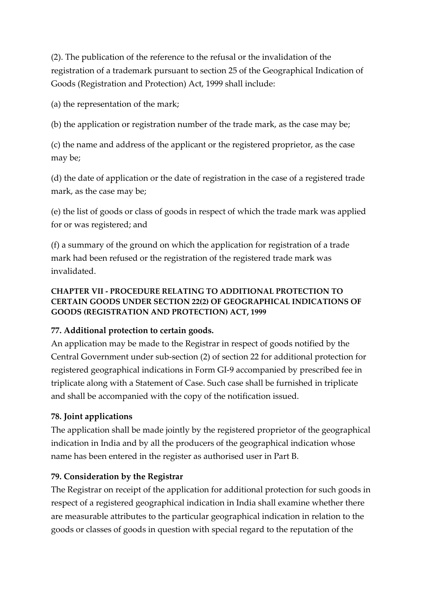(2). The publication of the reference to the refusal or the invalidation of the registration of a trademark pursuant to section 25 of the Geographical Indication of Goods (Registration and Protection) Act, 1999 shall include:

(a) the representation of the mark;

(b) the application or registration number of the trade mark, as the case may be;

(c) the name and address of the applicant or the registered proprietor, as the case may be;

(d) the date of application or the date of registration in the case of a registered trade mark, as the case may be;

(e) the list of goods or class of goods in respect of which the trade mark was applied for or was registered; and

(f) a summary of the ground on which the application for registration of a trade mark had been refused or the registration of the registered trade mark was invalidated.

#### **CHAPTER VII - PROCEDURE RELATING TO ADDITIONAL PROTECTION TO CERTAIN GOODS UNDER SECTION 22(2) OF GEOGRAPHICAL INDICATIONS OF GOODS (REGISTRATION AND PROTECTION) ACT, 1999**

### **77. Additional protection to certain goods.**

An application may be made to the Registrar in respect of goods notified by the Central Government under sub-section (2) of section 22 for additional protection for registered geographical indications in Form GI-9 accompanied by prescribed fee in triplicate along with a Statement of Case. Such case shall be furnished in triplicate and shall be accompanied with the copy of the notification issued.

### **78. Joint applications**

The application shall be made jointly by the registered proprietor of the geographical indication in India and by all the producers of the geographical indication whose name has been entered in the register as authorised user in Part B.

### **79. Consideration by the Registrar**

The Registrar on receipt of the application for additional protection for such goods in respect of a registered geographical indication in India shall examine whether there are measurable attributes to the particular geographical indication in relation to the goods or classes of goods in question with special regard to the reputation of the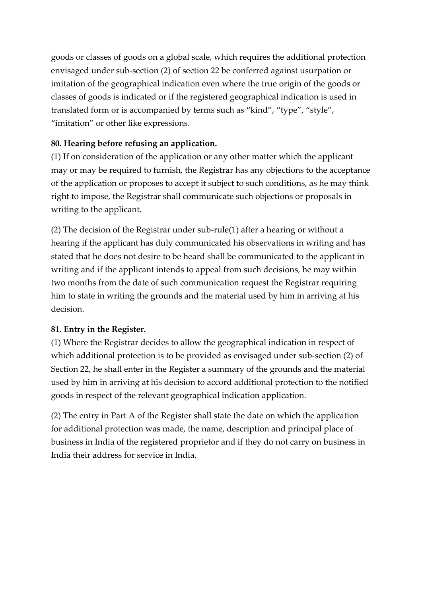goods or classes of goods on a global scale, which requires the additional protection envisaged under sub-section (2) of section 22 be conferred against usurpation or imitation of the geographical indication even where the true origin of the goods or classes of goods is indicated or if the registered geographical indication is used in translated form or is accompanied by terms such as "kind", "type", "style", "imitation" or other like expressions.

### **80. Hearing before refusing an application.**

(1) If on consideration of the application or any other matter which the applicant may or may be required to furnish, the Registrar has any objections to the acceptance of the application or proposes to accept it subject to such conditions, as he may think right to impose, the Registrar shall communicate such objections or proposals in writing to the applicant.

(2) The decision of the Registrar under sub-rule(1) after a hearing or without a hearing if the applicant has duly communicated his observations in writing and has stated that he does not desire to be heard shall be communicated to the applicant in writing and if the applicant intends to appeal from such decisions, he may within two months from the date of such communication request the Registrar requiring him to state in writing the grounds and the material used by him in arriving at his decision.

### **81. Entry in the Register.**

(1) Where the Registrar decides to allow the geographical indication in respect of which additional protection is to be provided as envisaged under sub-section (2) of Section 22, he shall enter in the Register a summary of the grounds and the material used by him in arriving at his decision to accord additional protection to the notified goods in respect of the relevant geographical indication application.

(2) The entry in Part A of the Register shall state the date on which the application for additional protection was made, the name, description and principal place of business in India of the registered proprietor and if they do not carry on business in India their address for service in India.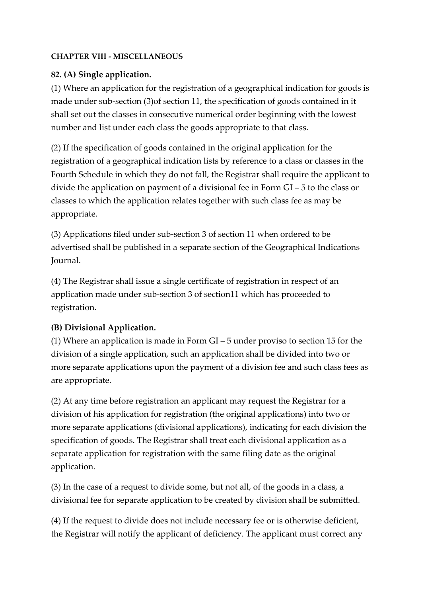#### **CHAPTER VIII - MISCELLANEOUS**

#### **82. (A) Single application.**

(1) Where an application for the registration of a geographical indication for goods is made under sub-section (3)of section 11, the specification of goods contained in it shall set out the classes in consecutive numerical order beginning with the lowest number and list under each class the goods appropriate to that class.

(2) If the specification of goods contained in the original application for the registration of a geographical indication lists by reference to a class or classes in the Fourth Schedule in which they do not fall, the Registrar shall require the applicant to divide the application on payment of a divisional fee in Form GI – 5 to the class or classes to which the application relates together with such class fee as may be appropriate.

(3) Applications filed under sub-section 3 of section 11 when ordered to be advertised shall be published in a separate section of the Geographical Indications Journal.

(4) The Registrar shall issue a single certificate of registration in respect of an application made under sub-section 3 of section11 which has proceeded to registration.

### **(B) Divisional Application.**

(1) Where an application is made in Form GI – 5 under proviso to section 15 for the division of a single application, such an application shall be divided into two or more separate applications upon the payment of a division fee and such class fees as are appropriate.

(2) At any time before registration an applicant may request the Registrar for a division of his application for registration (the original applications) into two or more separate applications (divisional applications), indicating for each division the specification of goods. The Registrar shall treat each divisional application as a separate application for registration with the same filing date as the original application.

(3) In the case of a request to divide some, but not all, of the goods in a class, a divisional fee for separate application to be created by division shall be submitted.

(4) If the request to divide does not include necessary fee or is otherwise deficient, the Registrar will notify the applicant of deficiency. The applicant must correct any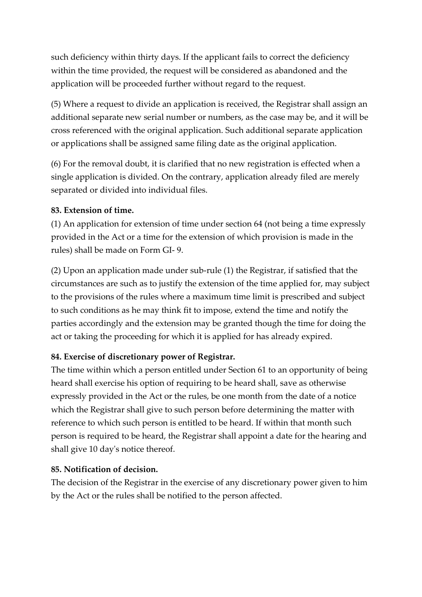such deficiency within thirty days. If the applicant fails to correct the deficiency within the time provided, the request will be considered as abandoned and the application will be proceeded further without regard to the request.

(5) Where a request to divide an application is received, the Registrar shall assign an additional separate new serial number or numbers, as the case may be, and it will be cross referenced with the original application. Such additional separate application or applications shall be assigned same filing date as the original application.

(6) For the removal doubt, it is clarified that no new registration is effected when a single application is divided. On the contrary, application already filed are merely separated or divided into individual files.

#### **83. Extension of time.**

(1) An application for extension of time under section 64 (not being a time expressly provided in the Act or a time for the extension of which provision is made in the rules) shall be made on Form GI- 9.

(2) Upon an application made under sub-rule (1) the Registrar, if satisfied that the circumstances are such as to justify the extension of the time applied for, may subject to the provisions of the rules where a maximum time limit is prescribed and subject to such conditions as he may think fit to impose, extend the time and notify the parties accordingly and the extension may be granted though the time for doing the act or taking the proceeding for which it is applied for has already expired.

### **84. Exercise of discretionary power of Registrar.**

The time within which a person entitled under Section 61 to an opportunity of being heard shall exercise his option of requiring to be heard shall, save as otherwise expressly provided in the Act or the rules, be one month from the date of a notice which the Registrar shall give to such person before determining the matter with reference to which such person is entitled to be heard. If within that month such person is required to be heard, the Registrar shall appoint a date for the hearing and shall give 10 day's notice thereof.

### **85. Notification of decision.**

The decision of the Registrar in the exercise of any discretionary power given to him by the Act or the rules shall be notified to the person affected.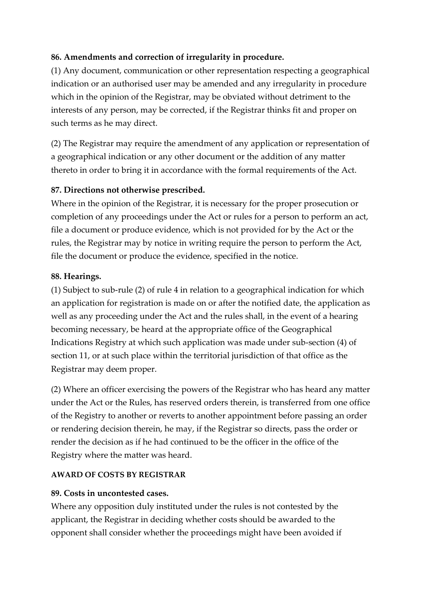### **86. Amendments and correction of irregularity in procedure.**

(1) Any document, communication or other representation respecting a geographical indication or an authorised user may be amended and any irregularity in procedure which in the opinion of the Registrar, may be obviated without detriment to the interests of any person, may be corrected, if the Registrar thinks fit and proper on such terms as he may direct.

(2) The Registrar may require the amendment of any application or representation of a geographical indication or any other document or the addition of any matter thereto in order to bring it in accordance with the formal requirements of the Act.

#### **87. Directions not otherwise prescribed.**

Where in the opinion of the Registrar, it is necessary for the proper prosecution or completion of any proceedings under the Act or rules for a person to perform an act, file a document or produce evidence, which is not provided for by the Act or the rules, the Registrar may by notice in writing require the person to perform the Act, file the document or produce the evidence, specified in the notice.

#### **88. Hearings.**

(1) Subject to sub-rule (2) of rule 4 in relation to a geographical indication for which an application for registration is made on or after the notified date, the application as well as any proceeding under the Act and the rules shall, in the event of a hearing becoming necessary, be heard at the appropriate office of the Geographical Indications Registry at which such application was made under sub-section (4) of section 11, or at such place within the territorial jurisdiction of that office as the Registrar may deem proper.

(2) Where an officer exercising the powers of the Registrar who has heard any matter under the Act or the Rules, has reserved orders therein, is transferred from one office of the Registry to another or reverts to another appointment before passing an order or rendering decision therein, he may, if the Registrar so directs, pass the order or render the decision as if he had continued to be the officer in the office of the Registry where the matter was heard.

#### **AWARD OF COSTS BY REGISTRAR**

#### **89. Costs in uncontested cases.**

Where any opposition duly instituted under the rules is not contested by the applicant, the Registrar in deciding whether costs should be awarded to the opponent shall consider whether the proceedings might have been avoided if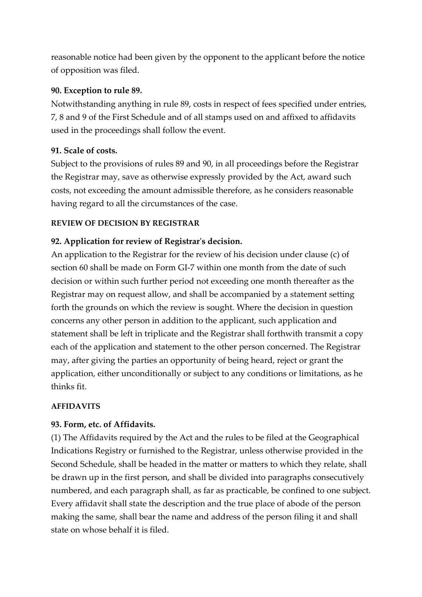reasonable notice had been given by the opponent to the applicant before the notice of opposition was filed.

#### **90. Exception to rule 89.**

Notwithstanding anything in rule 89, costs in respect of fees specified under entries, 7, 8 and 9 of the First Schedule and of all stamps used on and affixed to affidavits used in the proceedings shall follow the event.

#### **91. Scale of costs.**

Subject to the provisions of rules 89 and 90, in all proceedings before the Registrar the Registrar may, save as otherwise expressly provided by the Act, award such costs, not exceeding the amount admissible therefore, as he considers reasonable having regard to all the circumstances of the case.

#### **REVIEW OF DECISION BY REGISTRAR**

#### **92. Application for review of Registrar's decision.**

An application to the Registrar for the review of his decision under clause (c) of section 60 shall be made on Form GI-7 within one month from the date of such decision or within such further period not exceeding one month thereafter as the Registrar may on request allow, and shall be accompanied by a statement setting forth the grounds on which the review is sought. Where the decision in question concerns any other person in addition to the applicant, such application and statement shall be left in triplicate and the Registrar shall forthwith transmit a copy each of the application and statement to the other person concerned. The Registrar may, after giving the parties an opportunity of being heard, reject or grant the application, either unconditionally or subject to any conditions or limitations, as he thinks fit.

#### **AFFIDAVITS**

#### **93. Form, etc. of Affidavits.**

(1) The Affidavits required by the Act and the rules to be filed at the Geographical Indications Registry or furnished to the Registrar, unless otherwise provided in the Second Schedule, shall be headed in the matter or matters to which they relate, shall be drawn up in the first person, and shall be divided into paragraphs consecutively numbered, and each paragraph shall, as far as practicable, be confined to one subject. Every affidavit shall state the description and the true place of abode of the person making the same, shall bear the name and address of the person filing it and shall state on whose behalf it is filed.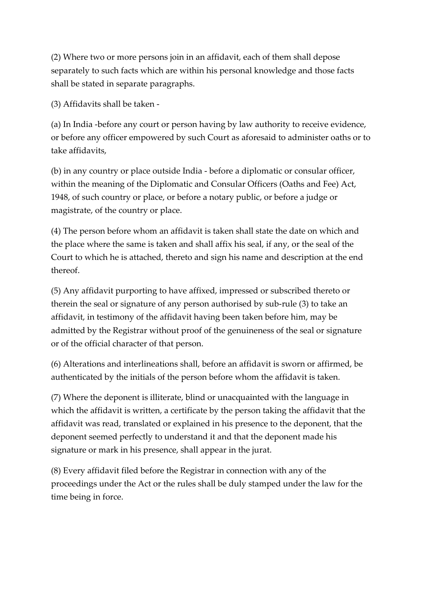(2) Where two or more persons join in an affidavit, each of them shall depose separately to such facts which are within his personal knowledge and those facts shall be stated in separate paragraphs.

(3) Affidavits shall be taken -

(a) In India -before any court or person having by law authority to receive evidence, or before any officer empowered by such Court as aforesaid to administer oaths or to take affidavits,

(b) in any country or place outside India - before a diplomatic or consular officer, within the meaning of the Diplomatic and Consular Officers (Oaths and Fee) Act, 1948, of such country or place, or before a notary public, or before a judge or magistrate, of the country or place.

(4) The person before whom an affidavit is taken shall state the date on which and the place where the same is taken and shall affix his seal, if any, or the seal of the Court to which he is attached, thereto and sign his name and description at the end thereof.

(5) Any affidavit purporting to have affixed, impressed or subscribed thereto or therein the seal or signature of any person authorised by sub-rule (3) to take an affidavit, in testimony of the affidavit having been taken before him, may be admitted by the Registrar without proof of the genuineness of the seal or signature or of the official character of that person.

(6) Alterations and interlineations shall, before an affidavit is sworn or affirmed, be authenticated by the initials of the person before whom the affidavit is taken.

(7) Where the deponent is illiterate, blind or unacquainted with the language in which the affidavit is written, a certificate by the person taking the affidavit that the affidavit was read, translated or explained in his presence to the deponent, that the deponent seemed perfectly to understand it and that the deponent made his signature or mark in his presence, shall appear in the jurat.

(8) Every affidavit filed before the Registrar in connection with any of the proceedings under the Act or the rules shall be duly stamped under the law for the time being in force.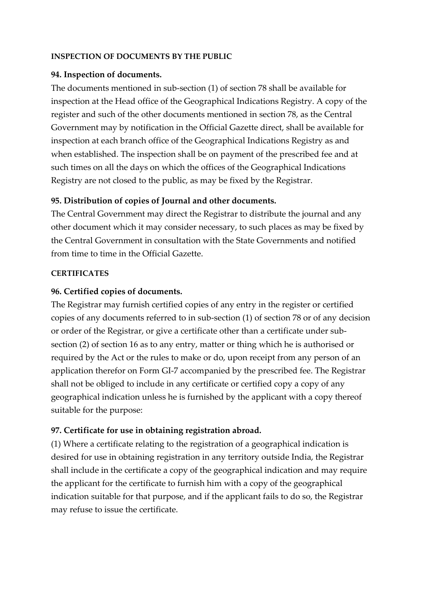#### **INSPECTION OF DOCUMENTS BY THE PUBLIC**

#### **94. Inspection of documents.**

The documents mentioned in sub-section (1) of section 78 shall be available for inspection at the Head office of the Geographical Indications Registry. A copy of the register and such of the other documents mentioned in section 78, as the Central Government may by notification in the Official Gazette direct, shall be available for inspection at each branch office of the Geographical Indications Registry as and when established. The inspection shall be on payment of the prescribed fee and at such times on all the days on which the offices of the Geographical Indications Registry are not closed to the public, as may be fixed by the Registrar.

#### **95. Distribution of copies of Journal and other documents.**

The Central Government may direct the Registrar to distribute the journal and any other document which it may consider necessary, to such places as may be fixed by the Central Government in consultation with the State Governments and notified from time to time in the Official Gazette.

#### **CERTIFICATES**

#### **96. Certified copies of documents.**

The Registrar may furnish certified copies of any entry in the register or certified copies of any documents referred to in sub-section (1) of section 78 or of any decision or order of the Registrar, or give a certificate other than a certificate under subsection (2) of section 16 as to any entry, matter or thing which he is authorised or required by the Act or the rules to make or do, upon receipt from any person of an application therefor on Form GI-7 accompanied by the prescribed fee. The Registrar shall not be obliged to include in any certificate or certified copy a copy of any geographical indication unless he is furnished by the applicant with a copy thereof suitable for the purpose:

#### **97. Certificate for use in obtaining registration abroad.**

(1) Where a certificate relating to the registration of a geographical indication is desired for use in obtaining registration in any territory outside India, the Registrar shall include in the certificate a copy of the geographical indication and may require the applicant for the certificate to furnish him with a copy of the geographical indication suitable for that purpose, and if the applicant fails to do so, the Registrar may refuse to issue the certificate.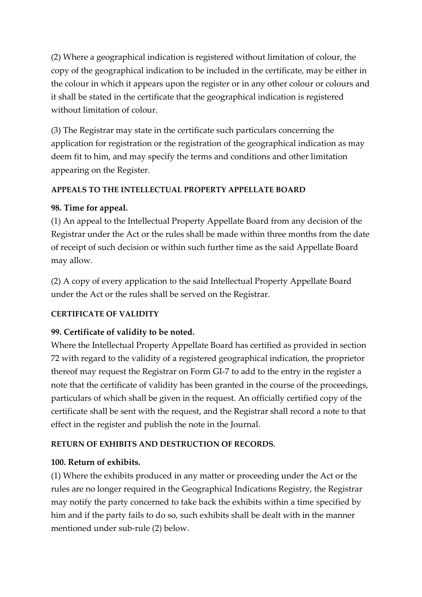(2) Where a geographical indication is registered without limitation of colour, the copy of the geographical indication to be included in the certificate, may be either in the colour in which it appears upon the register or in any other colour or colours and it shall be stated in the certificate that the geographical indication is registered without limitation of colour.

(3) The Registrar may state in the certificate such particulars concerning the application for registration or the registration of the geographical indication as may deem fit to him, and may specify the terms and conditions and other limitation appearing on the Register.

#### **APPEALS TO THE INTELLECTUAL PROPERTY APPELLATE BOARD**

### **98. Time for appeal.**

(1) An appeal to the Intellectual Property Appellate Board from any decision of the Registrar under the Act or the rules shall be made within three months from the date of receipt of such decision or within such further time as the said Appellate Board may allow.

(2) A copy of every application to the said Intellectual Property Appellate Board under the Act or the rules shall be served on the Registrar.

#### **CERTIFICATE OF VALIDITY**

### **99. Certificate of validity to be noted.**

Where the Intellectual Property Appellate Board has certified as provided in section 72 with regard to the validity of a registered geographical indication, the proprietor thereof may request the Registrar on Form GI-7 to add to the entry in the register a note that the certificate of validity has been granted in the course of the proceedings, particulars of which shall be given in the request. An officially certified copy of the certificate shall be sent with the request, and the Registrar shall record a note to that effect in the register and publish the note in the Journal.

### **RETURN OF EXHIBITS AND DESTRUCTION OF RECORDS.**

### **100. Return of exhibits.**

(1) Where the exhibits produced in any matter or proceeding under the Act or the rules are no longer required in the Geographical Indications Registry, the Registrar may notify the party concerned to take back the exhibits within a time specified by him and if the party fails to do so, such exhibits shall be dealt with in the manner mentioned under sub-rule (2) below.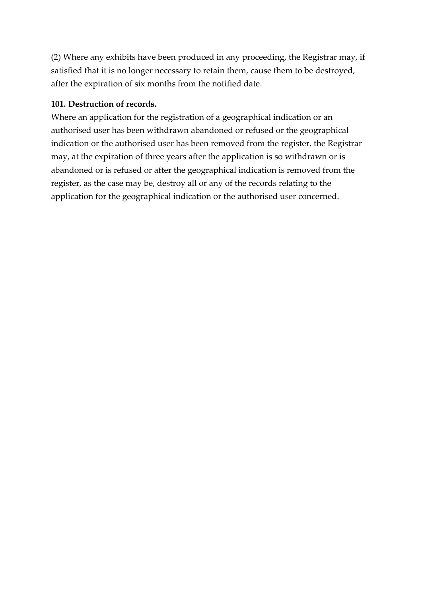(2) Where any exhibits have been produced in any proceeding, the Registrar may, if satisfied that it is no longer necessary to retain them, cause them to be destroyed, after the expiration of six months from the notified date.

#### **101. Destruction of records.**

Where an application for the registration of a geographical indication or an authorised user has been withdrawn abandoned or refused or the geographical indication or the authorised user has been removed from the register, the Registrar may, at the expiration of three years after the application is so withdrawn or is abandoned or is refused or after the geographical indication is removed from the register, as the case may be, destroy all or any of the records relating to the application for the geographical indication or the authorised user concerned.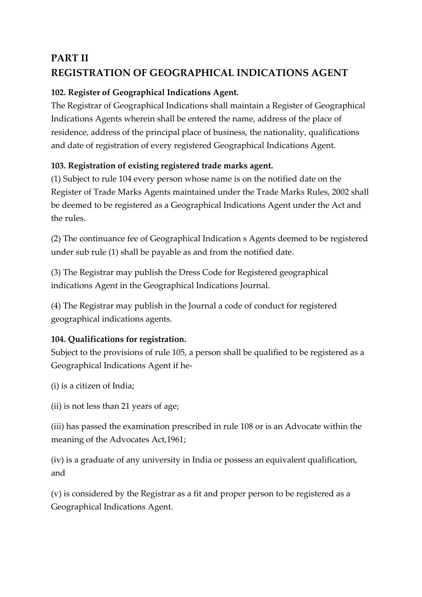# **PART II REGISTRATION OF GEOGRAPHICAL INDICATIONS AGENT**

## **102. Register of Geographical Indications Agent.**

The Registrar of Geographical Indications shall maintain a Register of Geographical Indications Agents wherein shall be entered the name, address of the place of residence, address of the principal place of business, the nationality, qualifications and date of registration of every registered Geographical Indications Agent.

## **103. Registration of existing registered trade marks agent.**

(1) Subject to rule 104 every person whose name is on the notified date on the Register of Trade Marks Agents maintained under the Trade Marks Rules, 2002 shall be deemed to be registered as a Geographical Indications Agent under the Act and the rules.

(2) The continuance fee of Geographical Indication s Agents deemed to be registered under sub rule (1) shall be payable as and from the notified date.

(3) The Registrar may publish the Dress Code for Registered geographical indications Agent in the Geographical Indications Journal.

(4) The Registrar may publish in the Journal a code of conduct for registered geographical indications agents.

## **104. Qualifications for registration.**

Subject to the provisions of rule 105, a person shall be qualified to be registered as a Geographical Indications Agent if he-

(i) is a citizen of India;

(ii) is not less than 21 years of age;

(iii) has passed the examination prescribed in rule 108 or is an Advocate within the meaning of the Advocates Act,1961;

(iv) is a graduate of any university in India or possess an equivalent qualification, and

(v) is considered by the Registrar as a fit and proper person to be registered as a Geographical Indications Agent.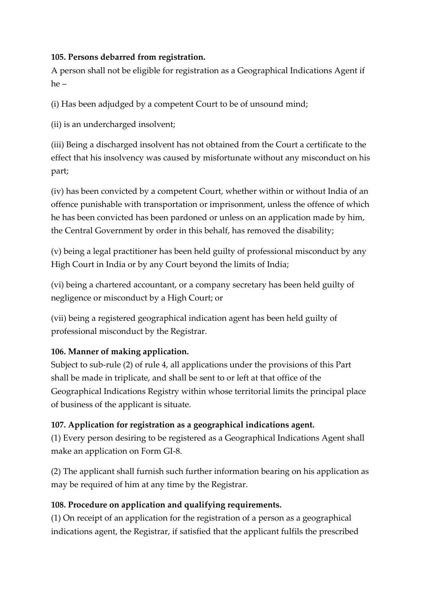#### **105. Persons debarred from registration.**

A person shall not be eligible for registration as a Geographical Indications Agent if he –

(i) Has been adjudged by a competent Court to be of unsound mind;

(ii) is an undercharged insolvent;

(iii) Being a discharged insolvent has not obtained from the Court a certificate to the effect that his insolvency was caused by misfortunate without any misconduct on his part;

(iv) has been convicted by a competent Court, whether within or without India of an offence punishable with transportation or imprisonment, unless the offence of which he has been convicted has been pardoned or unless on an application made by him, the Central Government by order in this behalf, has removed the disability;

(v) being a legal practitioner has been held guilty of professional misconduct by any High Court in India or by any Court beyond the limits of India;

(vi) being a chartered accountant, or a company secretary has been held guilty of negligence or misconduct by a High Court; or

(vii) being a registered geographical indication agent has been held guilty of professional misconduct by the Registrar.

## **106. Manner of making application.**

Subject to sub-rule (2) of rule 4, all applications under the provisions of this Part shall be made in triplicate, and shall be sent to or left at that office of the Geographical Indications Registry within whose territorial limits the principal place of business of the applicant is situate.

### **107. Application for registration as a geographical indications agent.**

(1) Every person desiring to be registered as a Geographical Indications Agent shall make an application on Form GI-8.

(2) The applicant shall furnish such further information bearing on his application as may be required of him at any time by the Registrar.

## **108. Procedure on application and qualifying requirements.**

(1) On receipt of an application for the registration of a person as a geographical indications agent, the Registrar, if satisfied that the applicant fulfils the prescribed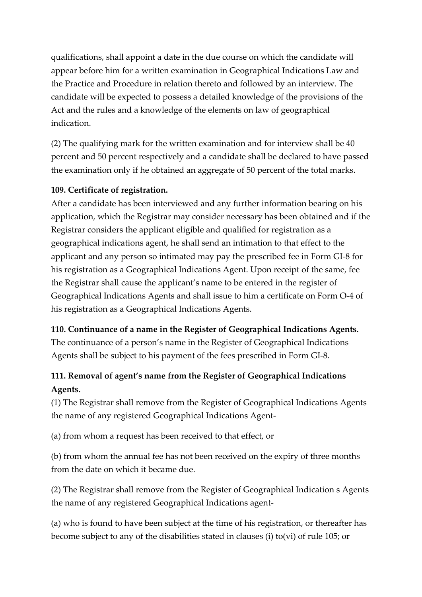qualifications, shall appoint a date in the due course on which the candidate will appear before him for a written examination in Geographical Indications Law and the Practice and Procedure in relation thereto and followed by an interview. The candidate will be expected to possess a detailed knowledge of the provisions of the Act and the rules and a knowledge of the elements on law of geographical indication.

(2) The qualifying mark for the written examination and for interview shall be 40 percent and 50 percent respectively and a candidate shall be declared to have passed the examination only if he obtained an aggregate of 50 percent of the total marks.

#### **109. Certificate of registration.**

After a candidate has been interviewed and any further information bearing on his application, which the Registrar may consider necessary has been obtained and if the Registrar considers the applicant eligible and qualified for registration as a geographical indications agent, he shall send an intimation to that effect to the applicant and any person so intimated may pay the prescribed fee in Form GI-8 for his registration as a Geographical Indications Agent. Upon receipt of the same, fee the Registrar shall cause the applicant's name to be entered in the register of Geographical Indications Agents and shall issue to him a certificate on Form O-4 of his registration as a Geographical Indications Agents.

**110. Continuance of a name in the Register of Geographical Indications Agents.** The continuance of a person's name in the Register of Geographical Indications Agents shall be subject to his payment of the fees prescribed in Form GI-8.

## **111. Removal of agent's name from the Register of Geographical Indications Agents.**

(1) The Registrar shall remove from the Register of Geographical Indications Agents the name of any registered Geographical Indications Agent-

(a) from whom a request has been received to that effect, or

(b) from whom the annual fee has not been received on the expiry of three months from the date on which it became due.

(2) The Registrar shall remove from the Register of Geographical Indication s Agents the name of any registered Geographical Indications agent-

(a) who is found to have been subject at the time of his registration, or thereafter has become subject to any of the disabilities stated in clauses (i) to(vi) of rule 105; or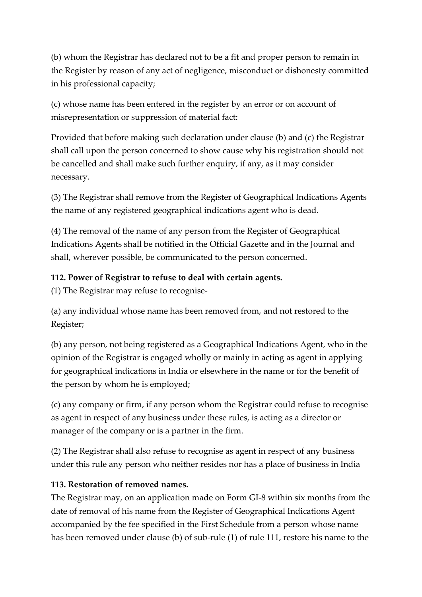(b) whom the Registrar has declared not to be a fit and proper person to remain in the Register by reason of any act of negligence, misconduct or dishonesty committed in his professional capacity;

(c) whose name has been entered in the register by an error or on account of misrepresentation or suppression of material fact:

Provided that before making such declaration under clause (b) and (c) the Registrar shall call upon the person concerned to show cause why his registration should not be cancelled and shall make such further enquiry, if any, as it may consider necessary.

(3) The Registrar shall remove from the Register of Geographical Indications Agents the name of any registered geographical indications agent who is dead.

(4) The removal of the name of any person from the Register of Geographical Indications Agents shall be notified in the Official Gazette and in the Journal and shall, wherever possible, be communicated to the person concerned.

### **112. Power of Registrar to refuse to deal with certain agents.**

(1) The Registrar may refuse to recognise-

(a) any individual whose name has been removed from, and not restored to the Register;

(b) any person, not being registered as a Geographical Indications Agent, who in the opinion of the Registrar is engaged wholly or mainly in acting as agent in applying for geographical indications in India or elsewhere in the name or for the benefit of the person by whom he is employed;

(c) any company or firm, if any person whom the Registrar could refuse to recognise as agent in respect of any business under these rules, is acting as a director or manager of the company or is a partner in the firm.

(2) The Registrar shall also refuse to recognise as agent in respect of any business under this rule any person who neither resides nor has a place of business in India

### **113. Restoration of removed names.**

The Registrar may, on an application made on Form GI-8 within six months from the date of removal of his name from the Register of Geographical Indications Agent accompanied by the fee specified in the First Schedule from a person whose name has been removed under clause (b) of sub-rule (1) of rule 111, restore his name to the